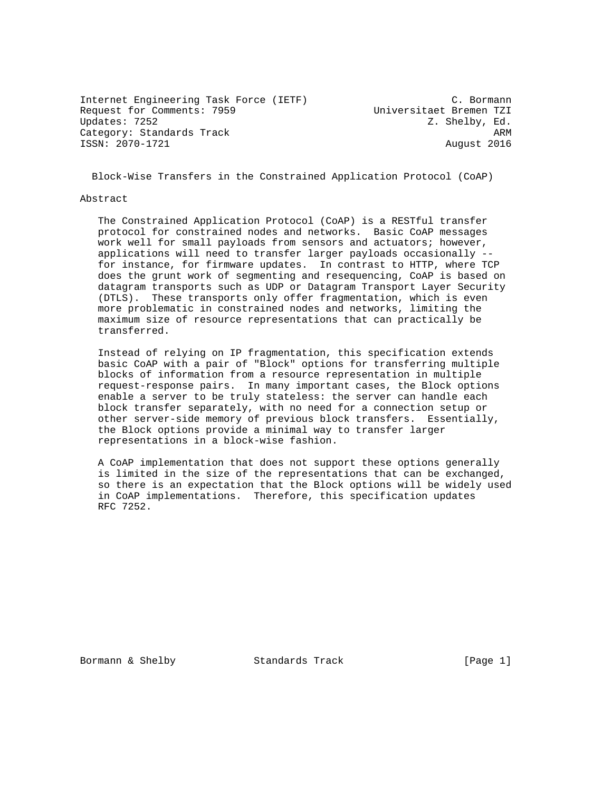Internet Engineering Task Force (IETF) (C. Bormann<br>Request for Comments: 7959 (Universitaet Bremen TZI Request for Comments: 7959<br>Updates: 7252 Category: Standards Track ARM ISSN: 2070-1721 August 2016

Z. Shelby, Ed.

Block-Wise Transfers in the Constrained Application Protocol (CoAP)

#### Abstract

 The Constrained Application Protocol (CoAP) is a RESTful transfer protocol for constrained nodes and networks. Basic CoAP messages work well for small payloads from sensors and actuators; however, applications will need to transfer larger payloads occasionally - for instance, for firmware updates. In contrast to HTTP, where TCP does the grunt work of segmenting and resequencing, CoAP is based on datagram transports such as UDP or Datagram Transport Layer Security (DTLS). These transports only offer fragmentation, which is even more problematic in constrained nodes and networks, limiting the maximum size of resource representations that can practically be transferred.

 Instead of relying on IP fragmentation, this specification extends basic CoAP with a pair of "Block" options for transferring multiple blocks of information from a resource representation in multiple request-response pairs. In many important cases, the Block options enable a server to be truly stateless: the server can handle each block transfer separately, with no need for a connection setup or other server-side memory of previous block transfers. Essentially, the Block options provide a minimal way to transfer larger representations in a block-wise fashion.

 A CoAP implementation that does not support these options generally is limited in the size of the representations that can be exchanged, so there is an expectation that the Block options will be widely used in CoAP implementations. Therefore, this specification updates RFC 7252.

Bormann & Shelby Standards Track [Page 1]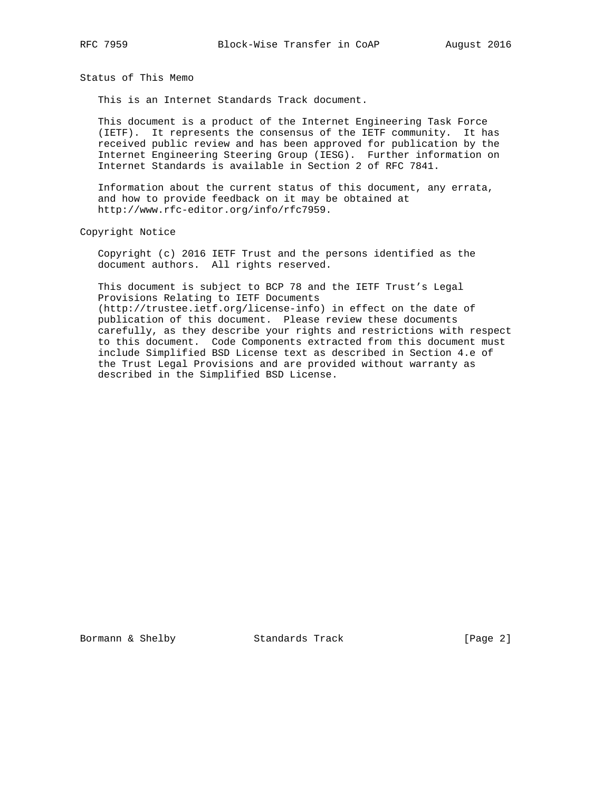Status of This Memo

This is an Internet Standards Track document.

 This document is a product of the Internet Engineering Task Force (IETF). It represents the consensus of the IETF community. It has received public review and has been approved for publication by the Internet Engineering Steering Group (IESG). Further information on Internet Standards is available in Section 2 of RFC 7841.

 Information about the current status of this document, any errata, and how to provide feedback on it may be obtained at http://www.rfc-editor.org/info/rfc7959.

Copyright Notice

 Copyright (c) 2016 IETF Trust and the persons identified as the document authors. All rights reserved.

 This document is subject to BCP 78 and the IETF Trust's Legal Provisions Relating to IETF Documents (http://trustee.ietf.org/license-info) in effect on the date of publication of this document. Please review these documents carefully, as they describe your rights and restrictions with respect to this document. Code Components extracted from this document must include Simplified BSD License text as described in Section 4.e of the Trust Legal Provisions and are provided without warranty as described in the Simplified BSD License.

Bormann & Shelby Standards Track [Page 2]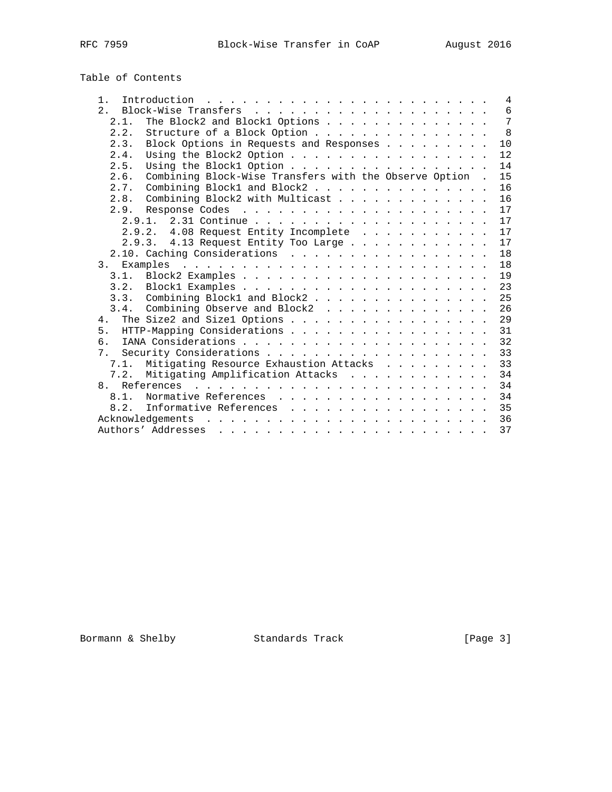| Table of Contents |  |
|-------------------|--|
|-------------------|--|

| 1.             | Introduction $\ldots \ldots \ldots \ldots \ldots \ldots \ldots \ldots \ldots$ |  |  |  |  |  | $\overline{4}$ |
|----------------|-------------------------------------------------------------------------------|--|--|--|--|--|----------------|
| 2.7            |                                                                               |  |  |  |  |  | 6              |
|                | The Block2 and Block1 Options<br>2.1.                                         |  |  |  |  |  | $\overline{7}$ |
|                | Structure of a Block Option<br>2.2.                                           |  |  |  |  |  | 8              |
|                | Block Options in Requests and Responses<br>2.3.                               |  |  |  |  |  | $10$           |
|                | Using the Block2 Option<br>2.4.                                               |  |  |  |  |  | 12             |
|                | 2.5.                                                                          |  |  |  |  |  | 14             |
|                | Combining Block-Wise Transfers with the Observe Option .<br>2.6.              |  |  |  |  |  | 15             |
|                | Combining Block1 and Block2<br>2.7.                                           |  |  |  |  |  | 16             |
|                | Combining Block2 with Multicast<br>2.8.                                       |  |  |  |  |  | 16             |
|                | 2.9.                                                                          |  |  |  |  |  | 17             |
|                |                                                                               |  |  |  |  |  | 17             |
|                | 2.9.2. 4.08 Request Entity Incomplete                                         |  |  |  |  |  | 17             |
|                | 2.9.3. 4.13 Request Entity Too Large                                          |  |  |  |  |  | 17             |
|                | 2.10. Caching Considerations                                                  |  |  |  |  |  | 18             |
| 3 <sub>1</sub> |                                                                               |  |  |  |  |  | 18             |
|                |                                                                               |  |  |  |  |  | 19             |
|                |                                                                               |  |  |  |  |  | 23             |
|                | 3.3. Combining Block1 and Block2                                              |  |  |  |  |  | 25             |
|                | Combining Observe and Block2<br>3.4.                                          |  |  |  |  |  | 26             |
|                |                                                                               |  |  |  |  |  | 29             |
|                | 5. HTTP-Mapping Considerations                                                |  |  |  |  |  | 31             |
| რ.             |                                                                               |  |  |  |  |  | 32             |
| 7 <sub>1</sub> |                                                                               |  |  |  |  |  | 33             |
|                | Mitigating Resource Exhaustion Attacks<br>7.1.                                |  |  |  |  |  | 33             |
|                | Mitigating Amplification Attacks<br>7.2.                                      |  |  |  |  |  | 34             |
|                |                                                                               |  |  |  |  |  | 34             |
|                | 8.1.<br>Normative References                                                  |  |  |  |  |  | 34             |
|                | Informative References<br>8.2.                                                |  |  |  |  |  | 35             |
|                | Acknowledgements                                                              |  |  |  |  |  | 36             |
|                |                                                                               |  |  |  |  |  | 37             |

Bormann & Shelby Standards Track [Page 3]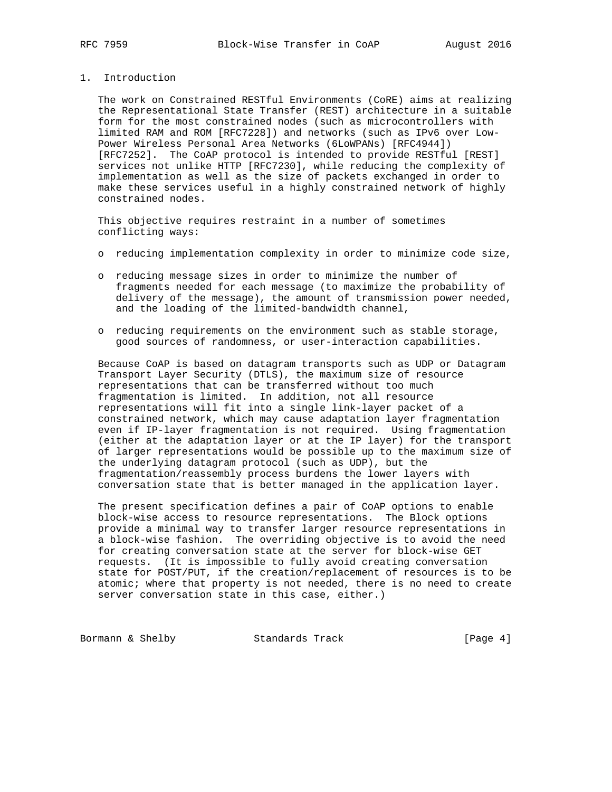## 1. Introduction

 The work on Constrained RESTful Environments (CoRE) aims at realizing the Representational State Transfer (REST) architecture in a suitable form for the most constrained nodes (such as microcontrollers with limited RAM and ROM [RFC7228]) and networks (such as IPv6 over Low- Power Wireless Personal Area Networks (6LoWPANs) [RFC4944]) [RFC7252]. The CoAP protocol is intended to provide RESTful [REST] services not unlike HTTP [RFC7230], while reducing the complexity of implementation as well as the size of packets exchanged in order to make these services useful in a highly constrained network of highly constrained nodes.

 This objective requires restraint in a number of sometimes conflicting ways:

- o reducing implementation complexity in order to minimize code size,
- o reducing message sizes in order to minimize the number of fragments needed for each message (to maximize the probability of delivery of the message), the amount of transmission power needed, and the loading of the limited-bandwidth channel,
- o reducing requirements on the environment such as stable storage, good sources of randomness, or user-interaction capabilities.

 Because CoAP is based on datagram transports such as UDP or Datagram Transport Layer Security (DTLS), the maximum size of resource representations that can be transferred without too much fragmentation is limited. In addition, not all resource representations will fit into a single link-layer packet of a constrained network, which may cause adaptation layer fragmentation even if IP-layer fragmentation is not required. Using fragmentation (either at the adaptation layer or at the IP layer) for the transport of larger representations would be possible up to the maximum size of the underlying datagram protocol (such as UDP), but the fragmentation/reassembly process burdens the lower layers with conversation state that is better managed in the application layer.

 The present specification defines a pair of CoAP options to enable block-wise access to resource representations. The Block options provide a minimal way to transfer larger resource representations in a block-wise fashion. The overriding objective is to avoid the need for creating conversation state at the server for block-wise GET requests. (It is impossible to fully avoid creating conversation state for POST/PUT, if the creation/replacement of resources is to be atomic; where that property is not needed, there is no need to create server conversation state in this case, either.)

Bormann & Shelby **Standards Track** [Page 4]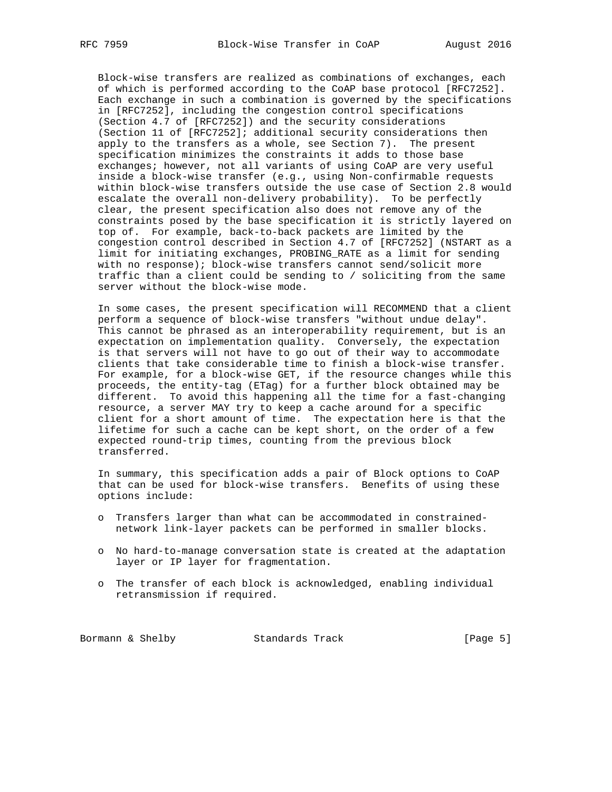Block-wise transfers are realized as combinations of exchanges, each of which is performed according to the CoAP base protocol [RFC7252]. Each exchange in such a combination is governed by the specifications in [RFC7252], including the congestion control specifications (Section 4.7 of [RFC7252]) and the security considerations (Section 11 of [RFC7252]; additional security considerations then apply to the transfers as a whole, see Section 7). The present specification minimizes the constraints it adds to those base exchanges; however, not all variants of using CoAP are very useful inside a block-wise transfer (e.g., using Non-confirmable requests within block-wise transfers outside the use case of Section 2.8 would escalate the overall non-delivery probability). To be perfectly clear, the present specification also does not remove any of the constraints posed by the base specification it is strictly layered on top of. For example, back-to-back packets are limited by the congestion control described in Section 4.7 of [RFC7252] (NSTART as a limit for initiating exchanges, PROBING\_RATE as a limit for sending with no response); block-wise transfers cannot send/solicit more traffic than a client could be sending to / soliciting from the same server without the block-wise mode.

 In some cases, the present specification will RECOMMEND that a client perform a sequence of block-wise transfers "without undue delay". This cannot be phrased as an interoperability requirement, but is an expectation on implementation quality. Conversely, the expectation is that servers will not have to go out of their way to accommodate clients that take considerable time to finish a block-wise transfer. For example, for a block-wise GET, if the resource changes while this proceeds, the entity-tag (ETag) for a further block obtained may be different. To avoid this happening all the time for a fast-changing resource, a server MAY try to keep a cache around for a specific client for a short amount of time. The expectation here is that the lifetime for such a cache can be kept short, on the order of a few expected round-trip times, counting from the previous block transferred.

 In summary, this specification adds a pair of Block options to CoAP that can be used for block-wise transfers. Benefits of using these options include:

- o Transfers larger than what can be accommodated in constrained network link-layer packets can be performed in smaller blocks.
- o No hard-to-manage conversation state is created at the adaptation layer or IP layer for fragmentation.
- o The transfer of each block is acknowledged, enabling individual retransmission if required.

Bormann & Shelby Standards Track [Page 5]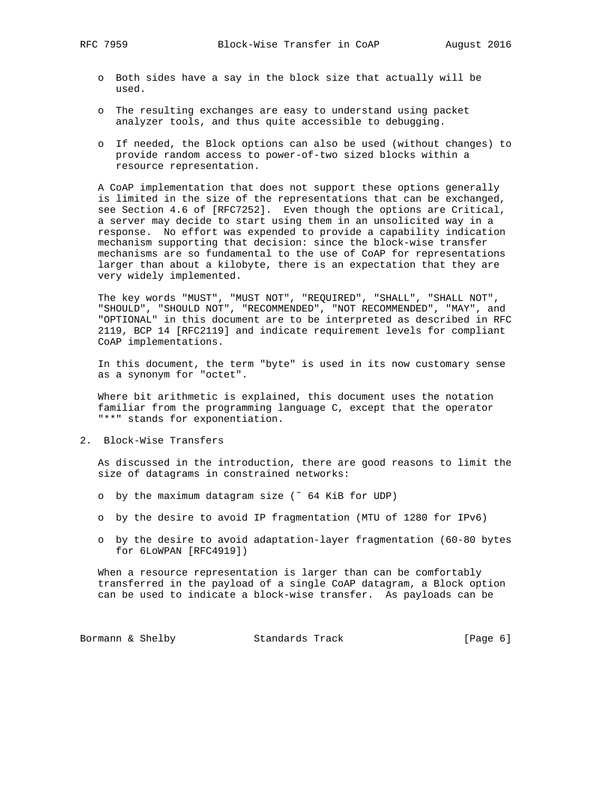- o Both sides have a say in the block size that actually will be used.
- o The resulting exchanges are easy to understand using packet analyzer tools, and thus quite accessible to debugging.
- o If needed, the Block options can also be used (without changes) to provide random access to power-of-two sized blocks within a resource representation.

 A CoAP implementation that does not support these options generally is limited in the size of the representations that can be exchanged, see Section 4.6 of [RFC7252]. Even though the options are Critical, a server may decide to start using them in an unsolicited way in a response. No effort was expended to provide a capability indication mechanism supporting that decision: since the block-wise transfer mechanisms are so fundamental to the use of CoAP for representations larger than about a kilobyte, there is an expectation that they are very widely implemented.

 The key words "MUST", "MUST NOT", "REQUIRED", "SHALL", "SHALL NOT", "SHOULD", "SHOULD NOT", "RECOMMENDED", "NOT RECOMMENDED", "MAY", and "OPTIONAL" in this document are to be interpreted as described in RFC 2119, BCP 14 [RFC2119] and indicate requirement levels for compliant CoAP implementations.

 In this document, the term "byte" is used in its now customary sense as a synonym for "octet".

 Where bit arithmetic is explained, this document uses the notation familiar from the programming language C, except that the operator "\*\*" stands for exponentiation.

2. Block-Wise Transfers

 As discussed in the introduction, there are good reasons to limit the size of datagrams in constrained networks:

- o by the maximum datagram size (˜ 64 KiB for UDP)
- o by the desire to avoid IP fragmentation (MTU of 1280 for IPv6)
- o by the desire to avoid adaptation-layer fragmentation (60-80 bytes for 6LoWPAN [RFC4919])

 When a resource representation is larger than can be comfortably transferred in the payload of a single CoAP datagram, a Block option can be used to indicate a block-wise transfer. As payloads can be

Bormann & Shelby Standards Track [Page 6]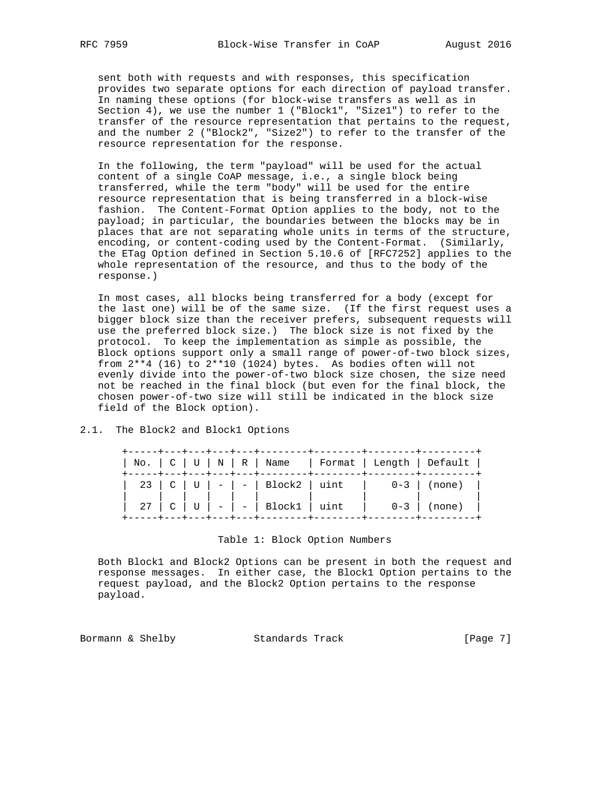sent both with requests and with responses, this specification provides two separate options for each direction of payload transfer. In naming these options (for block-wise transfers as well as in Section 4), we use the number 1 ("Block1", "Size1") to refer to the transfer of the resource representation that pertains to the request, and the number 2 ("Block2", "Size2") to refer to the transfer of the resource representation for the response.

 In the following, the term "payload" will be used for the actual content of a single CoAP message, i.e., a single block being transferred, while the term "body" will be used for the entire resource representation that is being transferred in a block-wise fashion. The Content-Format Option applies to the body, not to the payload; in particular, the boundaries between the blocks may be in places that are not separating whole units in terms of the structure, encoding, or content-coding used by the Content-Format. (Similarly, the ETag Option defined in Section 5.10.6 of [RFC7252] applies to the whole representation of the resource, and thus to the body of the response.)

 In most cases, all blocks being transferred for a body (except for the last one) will be of the same size. (If the first request uses a bigger block size than the receiver prefers, subsequent requests will use the preferred block size.) The block size is not fixed by the protocol. To keep the implementation as simple as possible, the Block options support only a small range of power-of-two block sizes, from 2\*\*4 (16) to 2\*\*10 (1024) bytes. As bodies often will not evenly divide into the power-of-two block size chosen, the size need not be reached in the final block (but even for the final block, the chosen power-of-two size will still be indicated in the block size field of the Block option).

2.1. The Block2 and Block1 Options

|  |  |                                  |  | No.   C   U   N   R   Name   Format   Length   Default |
|--|--|----------------------------------|--|--------------------------------------------------------|
|  |  |                                  |  | 23   C   U   -   -   Block2   uint   0-3   (none)      |
|  |  | -----+---+---+---+---+---------- |  |                                                        |

#### Table 1: Block Option Numbers

 Both Block1 and Block2 Options can be present in both the request and response messages. In either case, the Block1 Option pertains to the request payload, and the Block2 Option pertains to the response payload.

Bormann & Shelby Standards Track [Page 7]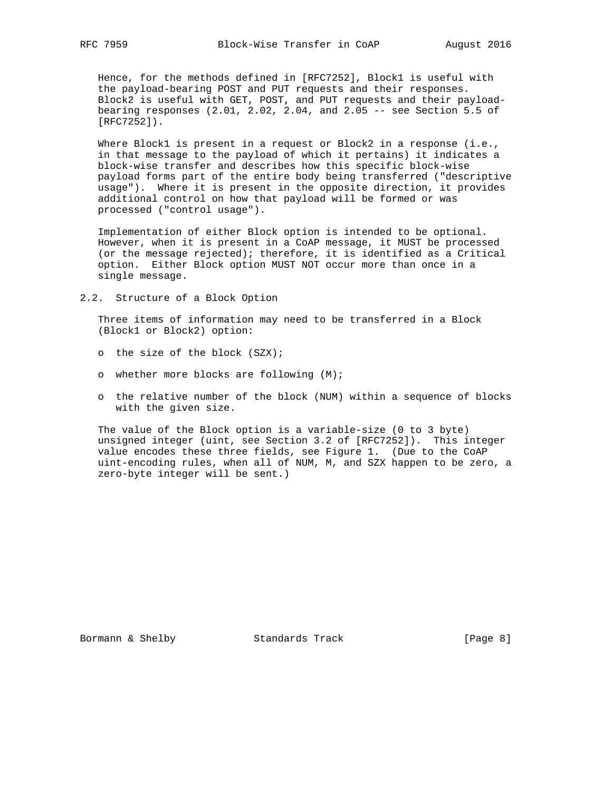Hence, for the methods defined in [RFC7252], Block1 is useful with the payload-bearing POST and PUT requests and their responses. Block2 is useful with GET, POST, and PUT requests and their payload bearing responses (2.01, 2.02, 2.04, and 2.05 -- see Section 5.5 of [RFC7252]).

Where Block1 is present in a request or Block2 in a response (i.e., in that message to the payload of which it pertains) it indicates a block-wise transfer and describes how this specific block-wise payload forms part of the entire body being transferred ("descriptive usage"). Where it is present in the opposite direction, it provides additional control on how that payload will be formed or was processed ("control usage").

 Implementation of either Block option is intended to be optional. However, when it is present in a CoAP message, it MUST be processed (or the message rejected); therefore, it is identified as a Critical option. Either Block option MUST NOT occur more than once in a single message.

2.2. Structure of a Block Option

 Three items of information may need to be transferred in a Block (Block1 or Block2) option:

- o the size of the block (SZX);
- o whether more blocks are following (M);
- o the relative number of the block (NUM) within a sequence of blocks with the given size.

 The value of the Block option is a variable-size (0 to 3 byte) unsigned integer (uint, see Section 3.2 of [RFC7252]). This integer value encodes these three fields, see Figure 1. (Due to the CoAP uint-encoding rules, when all of NUM, M, and SZX happen to be zero, a zero-byte integer will be sent.)

Bormann & Shelby Standards Track [Page 8]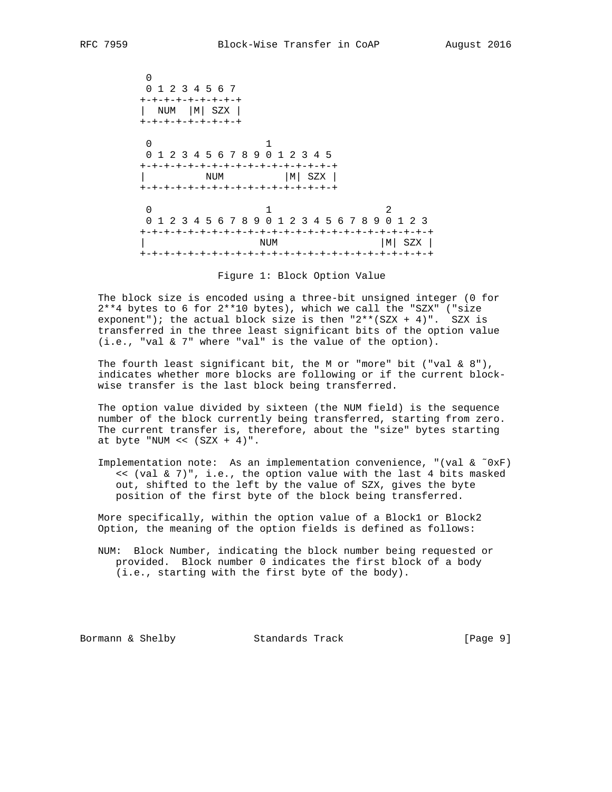0 0 1 2 3 4 5 6 7 +-+-+-+-+-+-+-+-+ | NUM |M| SZX | +-+-+-+-+-+-+-+-+  $\sim$  0  $\sim$  1 0 1 2 3 4 5 6 7 8 9 0 1 2 3 4 5 +-+-+-+-+-+-+-+-+-+-+-+-+-+-+-+-+ | NUM |M| SZX | +-+-+-+-+-+-+-+-+-+-+-+-+-+-+-+-+  $0$  1 2 0 1 2 3 4 5 6 7 8 9 0 1 2 3 4 5 6 7 8 9 0 1 2 3 +-+-+-+-+-+-+-+-+-+-+-+-+-+-+-+-+-+-+-+-+-+-+-+-+ NUM | M| SZX | +-+-+-+-+-+-+-+-+-+-+-+-+-+-+-+-+-+-+-+-+-+-+-+-+

Figure 1: Block Option Value

 The block size is encoded using a three-bit unsigned integer (0 for 2\*\*4 bytes to 6 for 2\*\*10 bytes), which we call the "SZX" ("size exponent"); the actual block size is then " $2**$  (SZX + 4)". SZX is transferred in the three least significant bits of the option value (i.e., "val & 7" where "val" is the value of the option).

The fourth least significant bit, the M or "more" bit ("val &  $8"$ ), indicates whether more blocks are following or if the current block wise transfer is the last block being transferred.

 The option value divided by sixteen (the NUM field) is the sequence number of the block currently being transferred, starting from zero. The current transfer is, therefore, about the "size" bytes starting at byte "NUM <<  $(SZX + 4)$ ".

Implementation note: As an implementation convenience, "(val  $\&$  ~0xF) << (val & 7)", i.e., the option value with the last 4 bits masked out, shifted to the left by the value of SZX, gives the byte position of the first byte of the block being transferred.

 More specifically, within the option value of a Block1 or Block2 Option, the meaning of the option fields is defined as follows:

 NUM: Block Number, indicating the block number being requested or provided. Block number 0 indicates the first block of a body (i.e., starting with the first byte of the body).

Bormann & Shelby Standards Track [Page 9]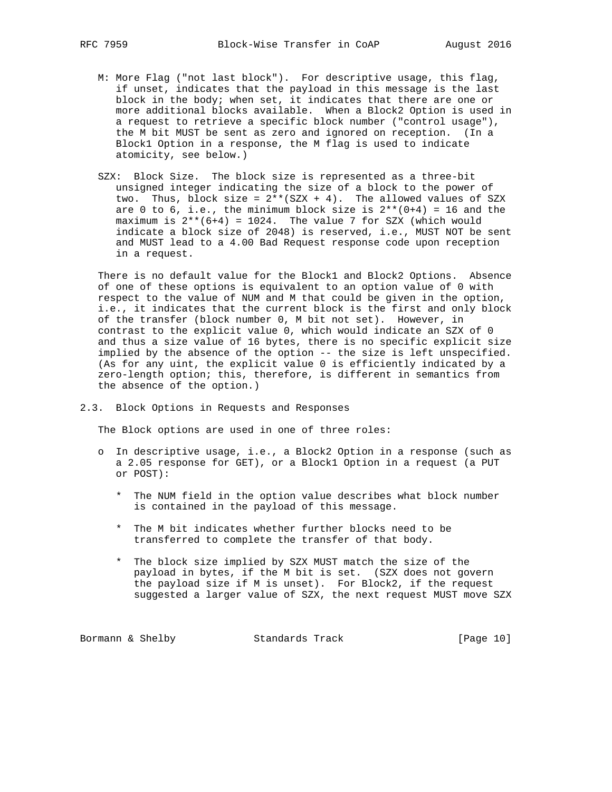- M: More Flag ("not last block"). For descriptive usage, this flag, if unset, indicates that the payload in this message is the last block in the body; when set, it indicates that there are one or more additional blocks available. When a Block2 Option is used in a request to retrieve a specific block number ("control usage"), the M bit MUST be sent as zero and ignored on reception. (In a Block1 Option in a response, the M flag is used to indicate atomicity, see below.)
- SZX: Block Size. The block size is represented as a three-bit unsigned integer indicating the size of a block to the power of two. Thus, block size =  $2**$ (SZX + 4). The allowed values of SZX are 0 to 6, i.e., the minimum block size is  $2**(0+4) = 16$  and the maximum is  $2^{**}(6+4) = 1024$ . The value 7 for SZX (which would indicate a block size of 2048) is reserved, i.e., MUST NOT be sent and MUST lead to a 4.00 Bad Request response code upon reception in a request.

 There is no default value for the Block1 and Block2 Options. Absence of one of these options is equivalent to an option value of 0 with respect to the value of NUM and M that could be given in the option, i.e., it indicates that the current block is the first and only block of the transfer (block number 0, M bit not set). However, in contrast to the explicit value 0, which would indicate an SZX of 0 and thus a size value of 16 bytes, there is no specific explicit size implied by the absence of the option -- the size is left unspecified. (As for any uint, the explicit value 0 is efficiently indicated by a zero-length option; this, therefore, is different in semantics from the absence of the option.)

#### 2.3. Block Options in Requests and Responses

The Block options are used in one of three roles:

- o In descriptive usage, i.e., a Block2 Option in a response (such as a 2.05 response for GET), or a Block1 Option in a request (a PUT or POST):
	- \* The NUM field in the option value describes what block number is contained in the payload of this message.
	- \* The M bit indicates whether further blocks need to be transferred to complete the transfer of that body.
	- \* The block size implied by SZX MUST match the size of the payload in bytes, if the M bit is set. (SZX does not govern the payload size if M is unset). For Block2, if the request suggested a larger value of SZX, the next request MUST move SZX

Bormann & Shelby Standards Track [Page 10]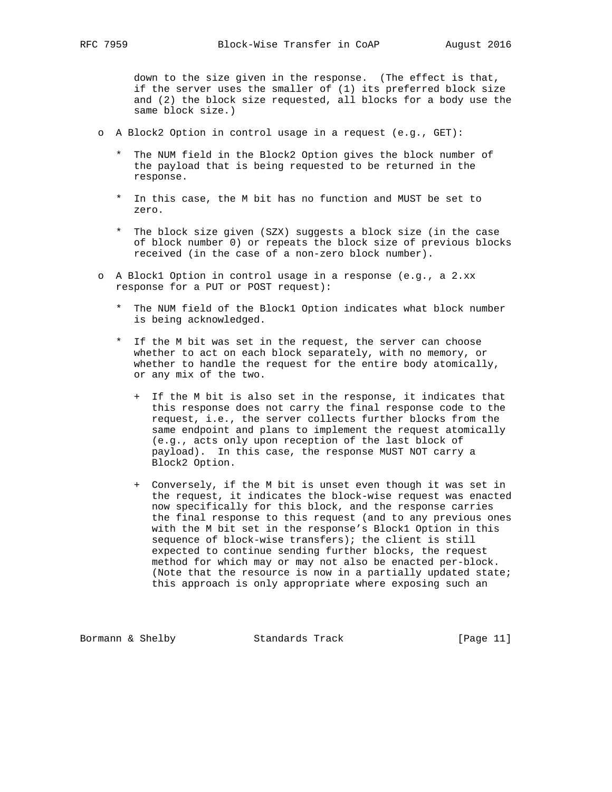down to the size given in the response. (The effect is that, if the server uses the smaller of (1) its preferred block size and (2) the block size requested, all blocks for a body use the same block size.)

- o A Block2 Option in control usage in a request (e.g., GET):
	- \* The NUM field in the Block2 Option gives the block number of the payload that is being requested to be returned in the response.
	- \* In this case, the M bit has no function and MUST be set to zero.
	- \* The block size given (SZX) suggests a block size (in the case of block number 0) or repeats the block size of previous blocks received (in the case of a non-zero block number).
- o A Block1 Option in control usage in a response (e.g., a 2.xx response for a PUT or POST request):
	- \* The NUM field of the Block1 Option indicates what block number is being acknowledged.
	- \* If the M bit was set in the request, the server can choose whether to act on each block separately, with no memory, or whether to handle the request for the entire body atomically, or any mix of the two.
		- + If the M bit is also set in the response, it indicates that this response does not carry the final response code to the request, i.e., the server collects further blocks from the same endpoint and plans to implement the request atomically (e.g., acts only upon reception of the last block of payload). In this case, the response MUST NOT carry a Block2 Option.
		- + Conversely, if the M bit is unset even though it was set in the request, it indicates the block-wise request was enacted now specifically for this block, and the response carries the final response to this request (and to any previous ones with the M bit set in the response's Block1 Option in this sequence of block-wise transfers); the client is still expected to continue sending further blocks, the request method for which may or may not also be enacted per-block. (Note that the resource is now in a partially updated state; this approach is only appropriate where exposing such an

Bormann & Shelby Standards Track [Page 11]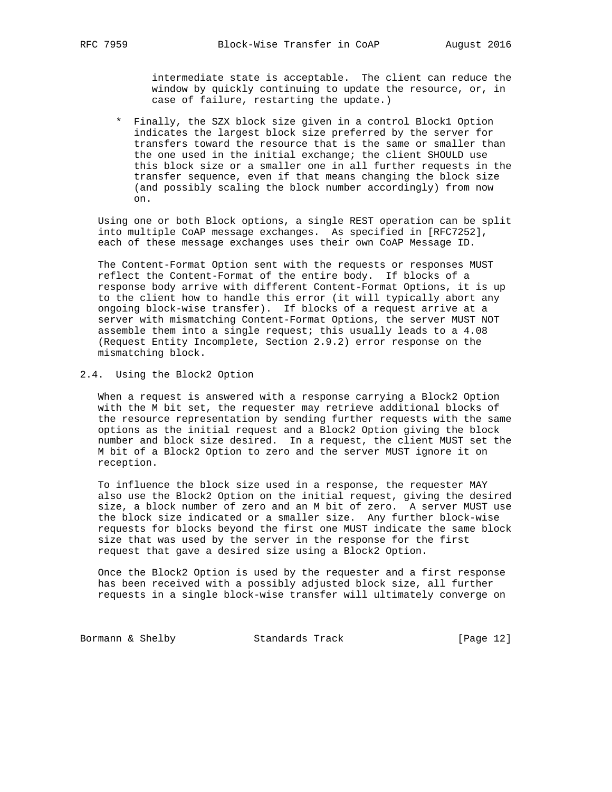intermediate state is acceptable. The client can reduce the window by quickly continuing to update the resource, or, in case of failure, restarting the update.)

 \* Finally, the SZX block size given in a control Block1 Option indicates the largest block size preferred by the server for transfers toward the resource that is the same or smaller than the one used in the initial exchange; the client SHOULD use this block size or a smaller one in all further requests in the transfer sequence, even if that means changing the block size (and possibly scaling the block number accordingly) from now on.

 Using one or both Block options, a single REST operation can be split into multiple CoAP message exchanges. As specified in [RFC7252], each of these message exchanges uses their own CoAP Message ID.

 The Content-Format Option sent with the requests or responses MUST reflect the Content-Format of the entire body. If blocks of a response body arrive with different Content-Format Options, it is up to the client how to handle this error (it will typically abort any ongoing block-wise transfer). If blocks of a request arrive at a server with mismatching Content-Format Options, the server MUST NOT assemble them into a single request; this usually leads to a 4.08 (Request Entity Incomplete, Section 2.9.2) error response on the mismatching block.

#### 2.4. Using the Block2 Option

 When a request is answered with a response carrying a Block2 Option with the M bit set, the requester may retrieve additional blocks of the resource representation by sending further requests with the same options as the initial request and a Block2 Option giving the block number and block size desired. In a request, the client MUST set the M bit of a Block2 Option to zero and the server MUST ignore it on reception.

 To influence the block size used in a response, the requester MAY also use the Block2 Option on the initial request, giving the desired size, a block number of zero and an M bit of zero. A server MUST use the block size indicated or a smaller size. Any further block-wise requests for blocks beyond the first one MUST indicate the same block size that was used by the server in the response for the first request that gave a desired size using a Block2 Option.

 Once the Block2 Option is used by the requester and a first response has been received with a possibly adjusted block size, all further requests in a single block-wise transfer will ultimately converge on

Bormann & Shelby Standards Track [Page 12]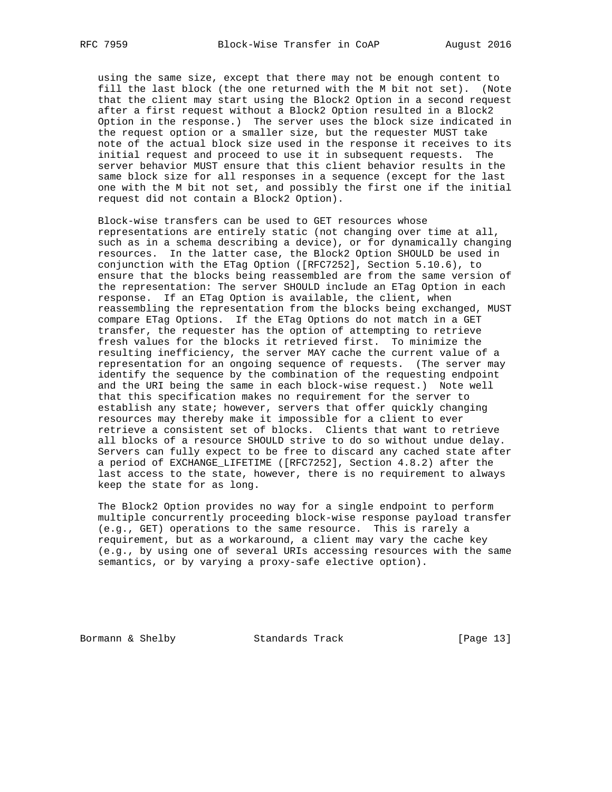using the same size, except that there may not be enough content to fill the last block (the one returned with the M bit not set). (Note that the client may start using the Block2 Option in a second request after a first request without a Block2 Option resulted in a Block2 Option in the response.) The server uses the block size indicated in the request option or a smaller size, but the requester MUST take note of the actual block size used in the response it receives to its initial request and proceed to use it in subsequent requests. The server behavior MUST ensure that this client behavior results in the same block size for all responses in a sequence (except for the last one with the M bit not set, and possibly the first one if the initial request did not contain a Block2 Option).

 Block-wise transfers can be used to GET resources whose representations are entirely static (not changing over time at all, such as in a schema describing a device), or for dynamically changing resources. In the latter case, the Block2 Option SHOULD be used in conjunction with the ETag Option ([RFC7252], Section 5.10.6), to ensure that the blocks being reassembled are from the same version of the representation: The server SHOULD include an ETag Option in each response. If an ETag Option is available, the client, when reassembling the representation from the blocks being exchanged, MUST compare ETag Options. If the ETag Options do not match in a GET transfer, the requester has the option of attempting to retrieve fresh values for the blocks it retrieved first. To minimize the resulting inefficiency, the server MAY cache the current value of a representation for an ongoing sequence of requests. (The server may identify the sequence by the combination of the requesting endpoint and the URI being the same in each block-wise request.) Note well that this specification makes no requirement for the server to establish any state; however, servers that offer quickly changing resources may thereby make it impossible for a client to ever retrieve a consistent set of blocks. Clients that want to retrieve all blocks of a resource SHOULD strive to do so without undue delay. Servers can fully expect to be free to discard any cached state after a period of EXCHANGE\_LIFETIME ([RFC7252], Section 4.8.2) after the last access to the state, however, there is no requirement to always keep the state for as long.

 The Block2 Option provides no way for a single endpoint to perform multiple concurrently proceeding block-wise response payload transfer (e.g., GET) operations to the same resource. This is rarely a requirement, but as a workaround, a client may vary the cache key (e.g., by using one of several URIs accessing resources with the same semantics, or by varying a proxy-safe elective option).

Bormann & Shelby Standards Track [Page 13]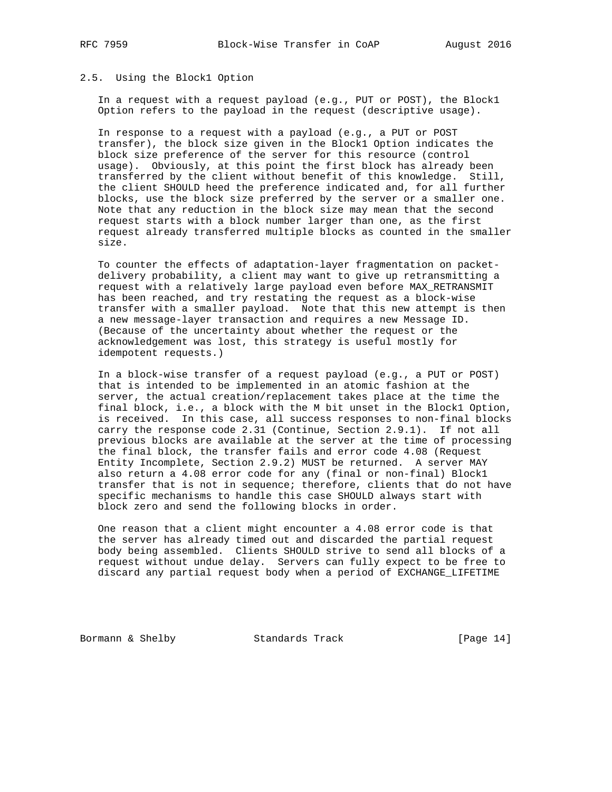## 2.5. Using the Block1 Option

 In a request with a request payload (e.g., PUT or POST), the Block1 Option refers to the payload in the request (descriptive usage).

 In response to a request with a payload (e.g., a PUT or POST transfer), the block size given in the Block1 Option indicates the block size preference of the server for this resource (control usage). Obviously, at this point the first block has already been transferred by the client without benefit of this knowledge. Still, the client SHOULD heed the preference indicated and, for all further blocks, use the block size preferred by the server or a smaller one. Note that any reduction in the block size may mean that the second request starts with a block number larger than one, as the first request already transferred multiple blocks as counted in the smaller size.

 To counter the effects of adaptation-layer fragmentation on packet delivery probability, a client may want to give up retransmitting a request with a relatively large payload even before MAX\_RETRANSMIT has been reached, and try restating the request as a block-wise transfer with a smaller payload. Note that this new attempt is then a new message-layer transaction and requires a new Message ID. (Because of the uncertainty about whether the request or the acknowledgement was lost, this strategy is useful mostly for idempotent requests.)

 In a block-wise transfer of a request payload (e.g., a PUT or POST) that is intended to be implemented in an atomic fashion at the server, the actual creation/replacement takes place at the time the final block, i.e., a block with the M bit unset in the Block1 Option, is received. In this case, all success responses to non-final blocks carry the response code 2.31 (Continue, Section 2.9.1). If not all previous blocks are available at the server at the time of processing the final block, the transfer fails and error code 4.08 (Request Entity Incomplete, Section 2.9.2) MUST be returned. A server MAY also return a 4.08 error code for any (final or non-final) Block1 transfer that is not in sequence; therefore, clients that do not have specific mechanisms to handle this case SHOULD always start with block zero and send the following blocks in order.

 One reason that a client might encounter a 4.08 error code is that the server has already timed out and discarded the partial request body being assembled. Clients SHOULD strive to send all blocks of a request without undue delay. Servers can fully expect to be free to discard any partial request body when a period of EXCHANGE\_LIFETIME

Bormann & Shelby Standards Track [Page 14]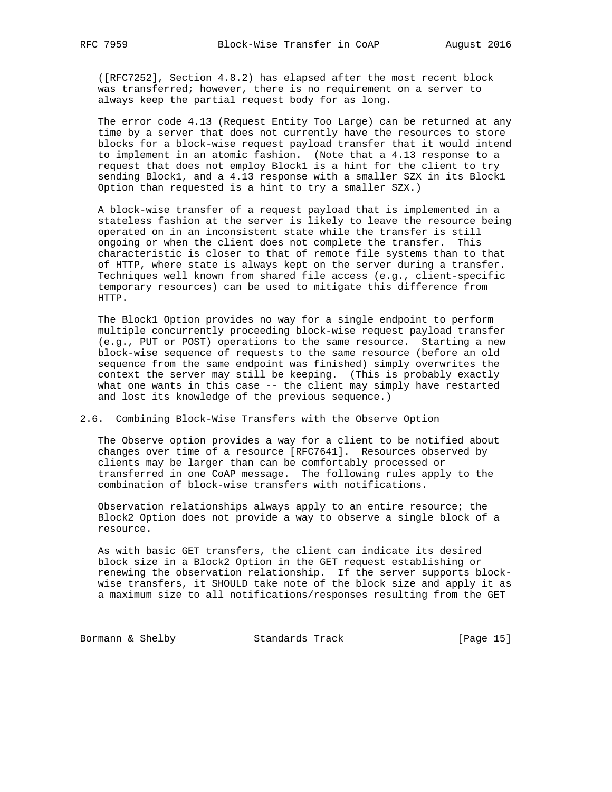([RFC7252], Section 4.8.2) has elapsed after the most recent block was transferred; however, there is no requirement on a server to always keep the partial request body for as long.

 The error code 4.13 (Request Entity Too Large) can be returned at any time by a server that does not currently have the resources to store blocks for a block-wise request payload transfer that it would intend to implement in an atomic fashion. (Note that a 4.13 response to a request that does not employ Block1 is a hint for the client to try sending Block1, and a 4.13 response with a smaller SZX in its Block1 Option than requested is a hint to try a smaller SZX.)

 A block-wise transfer of a request payload that is implemented in a stateless fashion at the server is likely to leave the resource being operated on in an inconsistent state while the transfer is still ongoing or when the client does not complete the transfer. This characteristic is closer to that of remote file systems than to that of HTTP, where state is always kept on the server during a transfer. Techniques well known from shared file access (e.g., client-specific temporary resources) can be used to mitigate this difference from HTTP.

 The Block1 Option provides no way for a single endpoint to perform multiple concurrently proceeding block-wise request payload transfer (e.g., PUT or POST) operations to the same resource. Starting a new block-wise sequence of requests to the same resource (before an old sequence from the same endpoint was finished) simply overwrites the context the server may still be keeping. (This is probably exactly what one wants in this case -- the client may simply have restarted and lost its knowledge of the previous sequence.)

### 2.6. Combining Block-Wise Transfers with the Observe Option

 The Observe option provides a way for a client to be notified about changes over time of a resource [RFC7641]. Resources observed by clients may be larger than can be comfortably processed or transferred in one CoAP message. The following rules apply to the combination of block-wise transfers with notifications.

 Observation relationships always apply to an entire resource; the Block2 Option does not provide a way to observe a single block of a resource.

 As with basic GET transfers, the client can indicate its desired block size in a Block2 Option in the GET request establishing or renewing the observation relationship. If the server supports block wise transfers, it SHOULD take note of the block size and apply it as a maximum size to all notifications/responses resulting from the GET

Bormann & Shelby Standards Track [Page 15]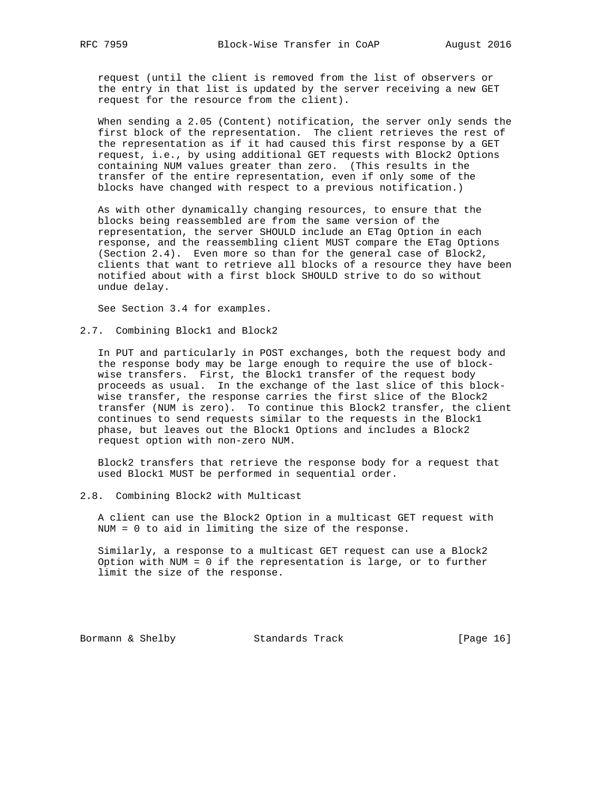request (until the client is removed from the list of observers or the entry in that list is updated by the server receiving a new GET request for the resource from the client).

 When sending a 2.05 (Content) notification, the server only sends the first block of the representation. The client retrieves the rest of the representation as if it had caused this first response by a GET request, i.e., by using additional GET requests with Block2 Options containing NUM values greater than zero. (This results in the transfer of the entire representation, even if only some of the blocks have changed with respect to a previous notification.)

 As with other dynamically changing resources, to ensure that the blocks being reassembled are from the same version of the representation, the server SHOULD include an ETag Option in each response, and the reassembling client MUST compare the ETag Options (Section 2.4). Even more so than for the general case of Block2, clients that want to retrieve all blocks of a resource they have been notified about with a first block SHOULD strive to do so without undue delay.

See Section 3.4 for examples.

2.7. Combining Block1 and Block2

 In PUT and particularly in POST exchanges, both the request body and the response body may be large enough to require the use of block wise transfers. First, the Block1 transfer of the request body proceeds as usual. In the exchange of the last slice of this block wise transfer, the response carries the first slice of the Block2 transfer (NUM is zero). To continue this Block2 transfer, the client continues to send requests similar to the requests in the Block1 phase, but leaves out the Block1 Options and includes a Block2 request option with non-zero NUM.

 Block2 transfers that retrieve the response body for a request that used Block1 MUST be performed in sequential order.

2.8. Combining Block2 with Multicast

 A client can use the Block2 Option in a multicast GET request with NUM = 0 to aid in limiting the size of the response.

 Similarly, a response to a multicast GET request can use a Block2 Option with NUM = 0 if the representation is large, or to further limit the size of the response.

Bormann & Shelby Standards Track [Page 16]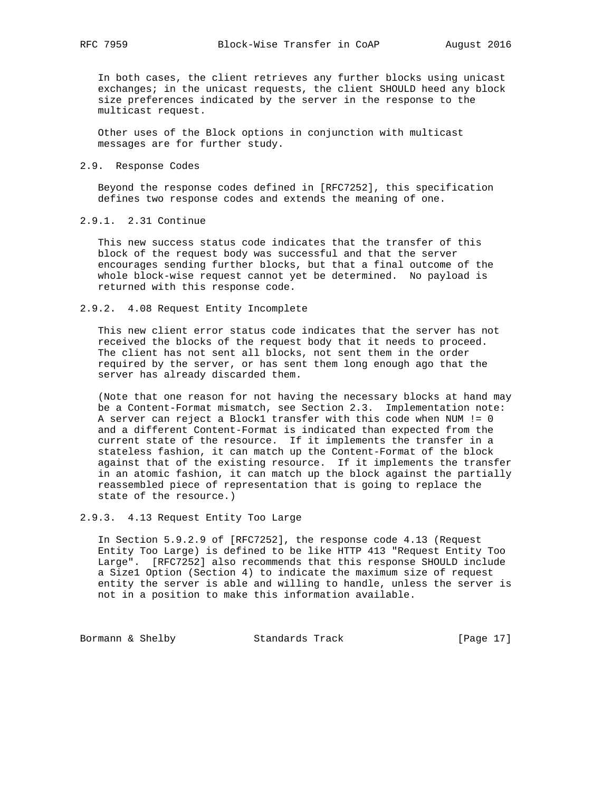In both cases, the client retrieves any further blocks using unicast exchanges; in the unicast requests, the client SHOULD heed any block size preferences indicated by the server in the response to the multicast request.

 Other uses of the Block options in conjunction with multicast messages are for further study.

### 2.9. Response Codes

 Beyond the response codes defined in [RFC7252], this specification defines two response codes and extends the meaning of one.

# 2.9.1. 2.31 Continue

 This new success status code indicates that the transfer of this block of the request body was successful and that the server encourages sending further blocks, but that a final outcome of the whole block-wise request cannot yet be determined. No payload is returned with this response code.

### 2.9.2. 4.08 Request Entity Incomplete

 This new client error status code indicates that the server has not received the blocks of the request body that it needs to proceed. The client has not sent all blocks, not sent them in the order required by the server, or has sent them long enough ago that the server has already discarded them.

 (Note that one reason for not having the necessary blocks at hand may be a Content-Format mismatch, see Section 2.3. Implementation note: A server can reject a Block1 transfer with this code when NUM != 0 and a different Content-Format is indicated than expected from the current state of the resource. If it implements the transfer in a stateless fashion, it can match up the Content-Format of the block against that of the existing resource. If it implements the transfer in an atomic fashion, it can match up the block against the partially reassembled piece of representation that is going to replace the state of the resource.)

## 2.9.3. 4.13 Request Entity Too Large

 In Section 5.9.2.9 of [RFC7252], the response code 4.13 (Request Entity Too Large) is defined to be like HTTP 413 "Request Entity Too Large". [RFC7252] also recommends that this response SHOULD include a Size1 Option (Section 4) to indicate the maximum size of request entity the server is able and willing to handle, unless the server is not in a position to make this information available.

Bormann & Shelby Standards Track [Page 17]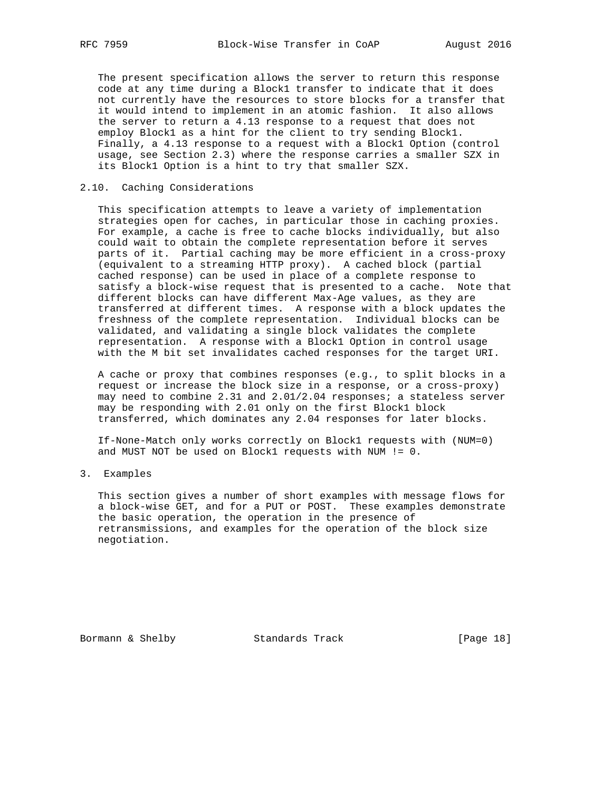The present specification allows the server to return this response code at any time during a Block1 transfer to indicate that it does not currently have the resources to store blocks for a transfer that it would intend to implement in an atomic fashion. It also allows the server to return a 4.13 response to a request that does not employ Block1 as a hint for the client to try sending Block1. Finally, a 4.13 response to a request with a Block1 Option (control usage, see Section 2.3) where the response carries a smaller SZX in its Block1 Option is a hint to try that smaller SZX.

### 2.10. Caching Considerations

 This specification attempts to leave a variety of implementation strategies open for caches, in particular those in caching proxies. For example, a cache is free to cache blocks individually, but also could wait to obtain the complete representation before it serves parts of it. Partial caching may be more efficient in a cross-proxy (equivalent to a streaming HTTP proxy). A cached block (partial cached response) can be used in place of a complete response to satisfy a block-wise request that is presented to a cache. Note that different blocks can have different Max-Age values, as they are transferred at different times. A response with a block updates the freshness of the complete representation. Individual blocks can be validated, and validating a single block validates the complete representation. A response with a Block1 Option in control usage with the M bit set invalidates cached responses for the target URI.

 A cache or proxy that combines responses (e.g., to split blocks in a request or increase the block size in a response, or a cross-proxy) may need to combine 2.31 and 2.01/2.04 responses; a stateless server may be responding with 2.01 only on the first Block1 block transferred, which dominates any 2.04 responses for later blocks.

 If-None-Match only works correctly on Block1 requests with (NUM=0) and MUST NOT be used on Block1 requests with NUM != 0.

### 3. Examples

 This section gives a number of short examples with message flows for a block-wise GET, and for a PUT or POST. These examples demonstrate the basic operation, the operation in the presence of retransmissions, and examples for the operation of the block size negotiation.

Bormann & Shelby Standards Track [Page 18]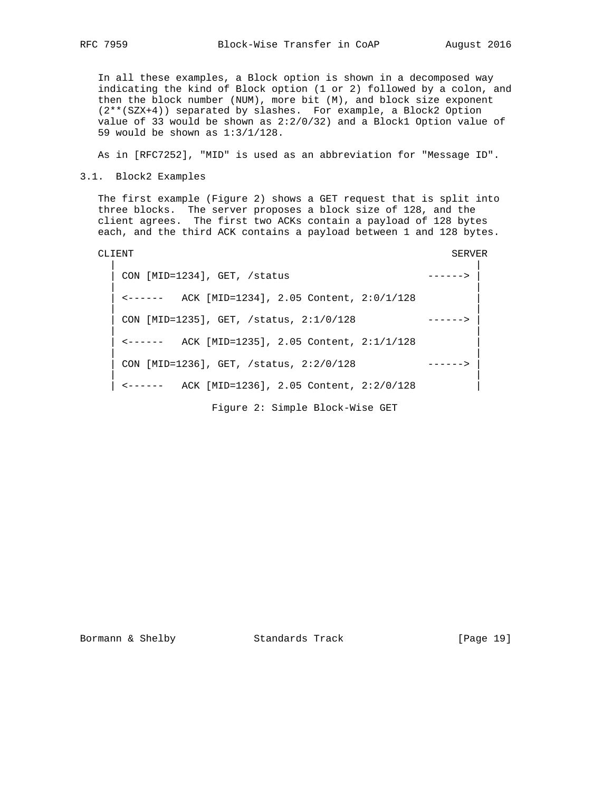In all these examples, a Block option is shown in a decomposed way indicating the kind of Block option (1 or 2) followed by a colon, and then the block number (NUM), more bit (M), and block size exponent (2\*\*(SZX+4)) separated by slashes. For example, a Block2 Option value of 33 would be shown as 2:2/0/32) and a Block1 Option value of 59 would be shown as 1:3/1/128.

As in [RFC7252], "MID" is used as an abbreviation for "Message ID".

3.1. Block2 Examples

 The first example (Figure 2) shows a GET request that is split into three blocks. The server proposes a block size of 128, and the client agrees. The first two ACKs contain a payload of 128 bytes each, and the third ACK contains a payload between 1 and 128 bytes.

| CLIENT                                                                                | SERVER |
|---------------------------------------------------------------------------------------|--------|
| CON [MID=1234], GET, /status                                                          |        |
| $\leftarrow \leftarrow \leftarrow \leftarrow$ ACK [MID=1234], 2.05 Content, 2:0/1/128 |        |
| CON [MID=1235], GET, /status, 2:1/0/128                                               |        |
| <------ ACK [MID=1235], 2.05 Content, 2:1/1/128                                       |        |
| CON [MID=1236], GET, /status, 2:2/0/128                                               |        |
| ACK [MID=1236], 2.05 Content, 2:2/0/128                                               |        |
| Figure 2: Simple Block-Wise GET                                                       |        |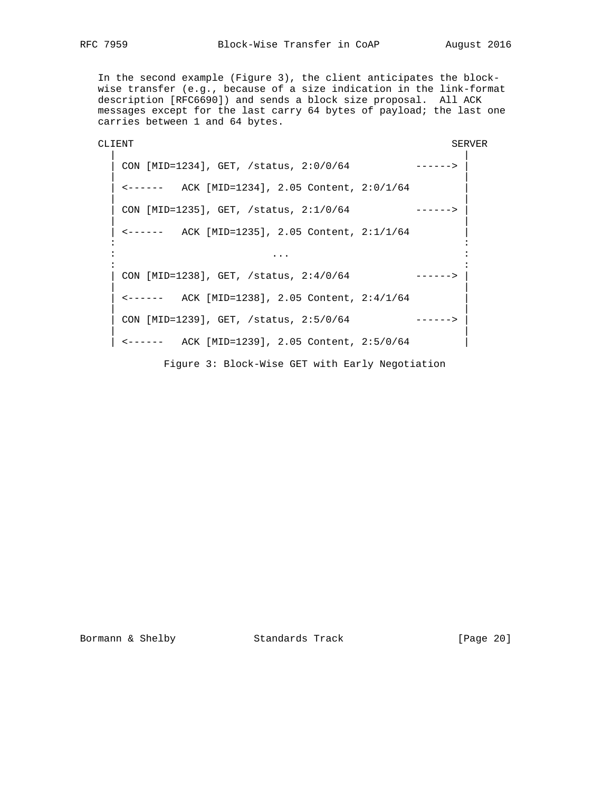In the second example (Figure 3), the client anticipates the block wise transfer (e.g., because of a size indication in the link-format description [RFC6690]) and sends a block size proposal. All ACK messages except for the last carry 64 bytes of payload; the last one carries between 1 and 64 bytes.

CLIENT SERVER | | | CON [MID=1234], GET, /status, 2:0/0/64 ------> | | | | <------ ACK [MID=1234], 2.05 Content, 2:0/1/64 | | | | CON [MID=1235], GET, /status, 2:1/0/64 ------> | | | | <------ ACK [MID=1235], 2.05 Content, 2:1/1/64 | in the state of the state of the state of the state of the state of the state of the state of the state of the : ... : in the second control of the second control of the second control of the second control of the second control o | CON [MID=1238], GET, /status, 2:4/0/64 ------> | | | | <------ ACK [MID=1238], 2.05 Content, 2:4/1/64 | | | | CON [MID=1239], GET, /status, 2:5/0/64 ------> | | |  $|\leftarrow---$  ACK [MID=1239], 2.05 Content, 2:5/0/64  $|\leftarrow|$ Figure 3: Block-Wise GET with Early Negotiation

Bormann & Shelby Standards Track [Page 20]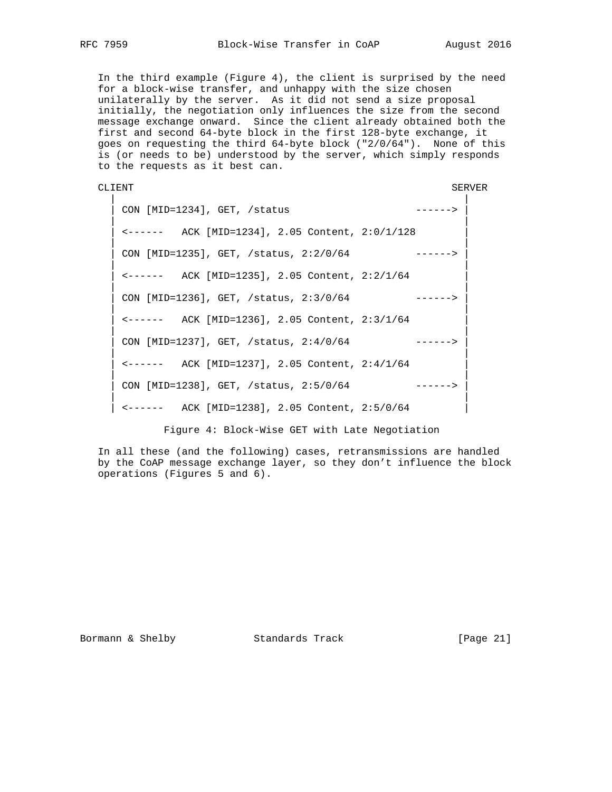In the third example (Figure 4), the client is surprised by the need for a block-wise transfer, and unhappy with the size chosen unilaterally by the server. As it did not send a size proposal initially, the negotiation only influences the size from the second message exchange onward. Since the client already obtained both the first and second 64-byte block in the first 128-byte exchange, it goes on requesting the third 64-byte block ("2/0/64"). None of this is (or needs to be) understood by the server, which simply responds to the requests as it best can.

```
CLIENT SERVER
```
 | | | CON [MID=1234], GET, /status ------> | | | | <------ ACK [MID=1234], 2.05 Content, 2:0/1/128 | | | CON [MID=1235], GET, /status, 2:2/0/64 ------> | | | <------ ACK [MID=1235], 2.05 Content, 2:2/1/64 | | | | CON [MID=1236], GET, /status, 2:3/0/64 ------> | | | | <------ ACK [MID=1236], 2.05 Content, 2:3/1/64 | | |  $\vert$  CON [MID=1237], GET, /status, 2:4/0/64 ------> | | | <------ ACK [MID=1237], 2.05 Content, 2:4/1/64 | | | CON [MID=1238], GET, /status, 2:5/0/64 ------> | |  $\vert$  <------ ACK [MID=1238], 2.05 Content, 2:5/0/64  $\vert$ 

Figure 4: Block-Wise GET with Late Negotiation

 In all these (and the following) cases, retransmissions are handled by the CoAP message exchange layer, so they don't influence the block operations (Figures 5 and 6).

Bormann & Shelby Standards Track [Page 21]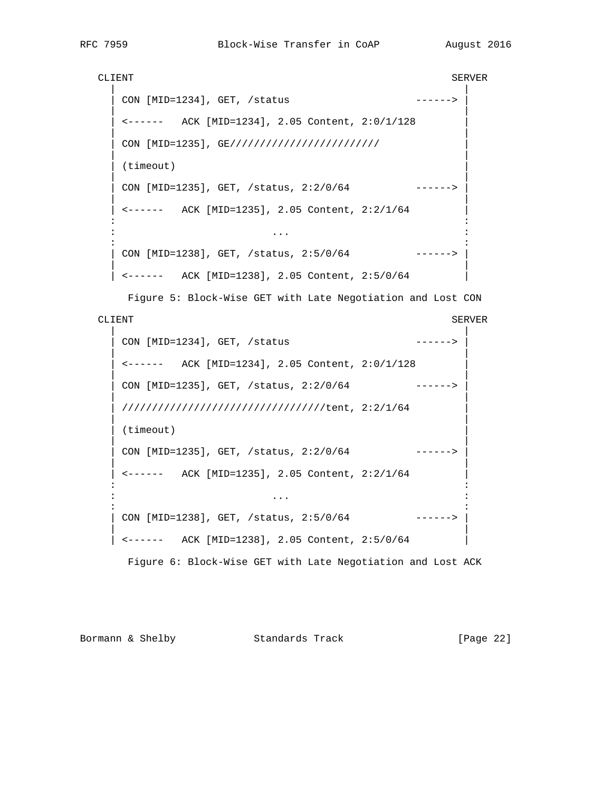```
CLIENT SERVER
 | |
   CON [MID=1234], GET, /status ------>
 | |
    | <------ ACK [MID=1234], 2.05 Content, 2:0/1/128 |
 | |
   CON [MID=1235], GE/////////////////////////
 | |
   (timeout)
 | |
   CON [MID=1235], GET, /status, 2:2/0/64 ------>
 | |
    | <------ ACK [MID=1235], 2.05 Content, 2:2/1/64 |
in the state of the state of the state of the state of the state of the state of the state of the state of the
 : ... :
in the state of the state of the state of the state of the state of the state of the state of the state of the
   CON [MID=1238], GET, /status, 2:5/0/64 ------>
 | |
   | <------ ACK [MID=1238], 2.05 Content, 2:5/0/64 |
```
Figure 5: Block-Wise GET with Late Negotiation and Lost CON

# CLIENT SERVER

```
 | |
   CON [MID=1234], GET, /status ------>
 | |
    | <------ ACK [MID=1234], 2.05 Content, 2:0/1/128 |
 | |
   CON [MID=1235], GET, /status, 2:2/0/64 ------>
 | |
    | //////////////////////////////////tent, 2:2/1/64 |
 | |
   (timeout)
 | |
   CON [MID=1235], GET, /status, 2:2/0/64 ------>
 | |
    | <------ ACK [MID=1235], 2.05 Content, 2:2/1/64 |
in the state of the state of the state of the state of the state of the state of the state of the state of the
 : ... :
in the state of the state of the state of the state of the state of the state of the state of the state of the
   CON [MID=1238], GET, /status, 2:5/0/64 ------>
 | |
   | <------ ACK [MID=1238], 2.05 Content, 2:5/0/64 |
```
Figure 6: Block-Wise GET with Late Negotiation and Lost ACK

Bormann & Shelby Standards Track [Page 22]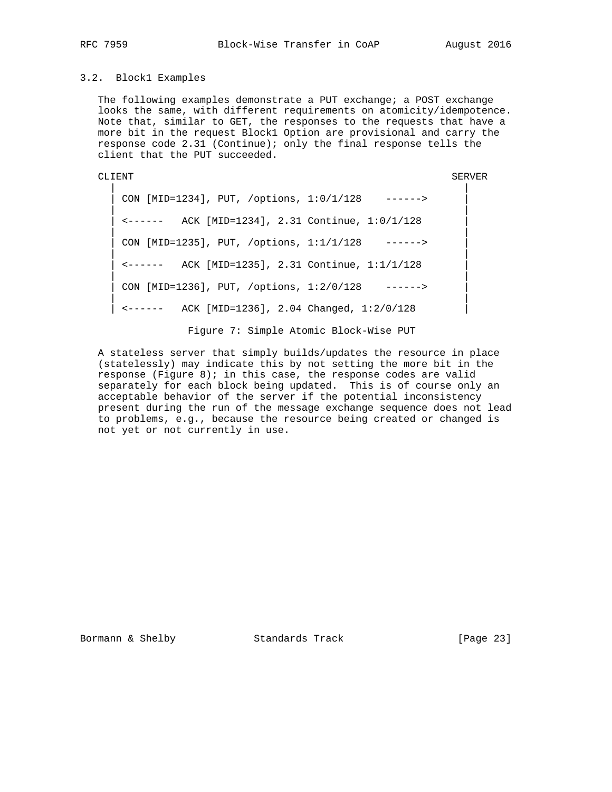## 3.2. Block1 Examples

The following examples demonstrate a PUT exchange; a POST exchange looks the same, with different requirements on atomicity/idempotence. Note that, similar to GET, the responses to the requests that have a more bit in the request Block1 Option are provisional and carry the response code 2.31 (Continue); only the final response tells the client that the PUT succeeded.

CLIENT SERVER

 | | CON [MID=1234], PUT, /options, 1:0/1/128 ------> | | | <------ ACK [MID=1234], 2.31 Continue, 1:0/1/128 | | | CON [MID=1235], PUT, /options, 1:1/1/128 ------> | | | <------ ACK [MID=1235], 2.31 Continue, 1:1/1/128 | | | CON [MID=1236], PUT, /options, 1:2/0/128 ------> | | | <------ ACK [MID=1236], 2.04 Changed, 1:2/0/128 |

Figure 7: Simple Atomic Block-Wise PUT

 A stateless server that simply builds/updates the resource in place (statelessly) may indicate this by not setting the more bit in the response (Figure 8); in this case, the response codes are valid separately for each block being updated. This is of course only an acceptable behavior of the server if the potential inconsistency present during the run of the message exchange sequence does not lead to problems, e.g., because the resource being created or changed is not yet or not currently in use.

Bormann & Shelby Standards Track [Page 23]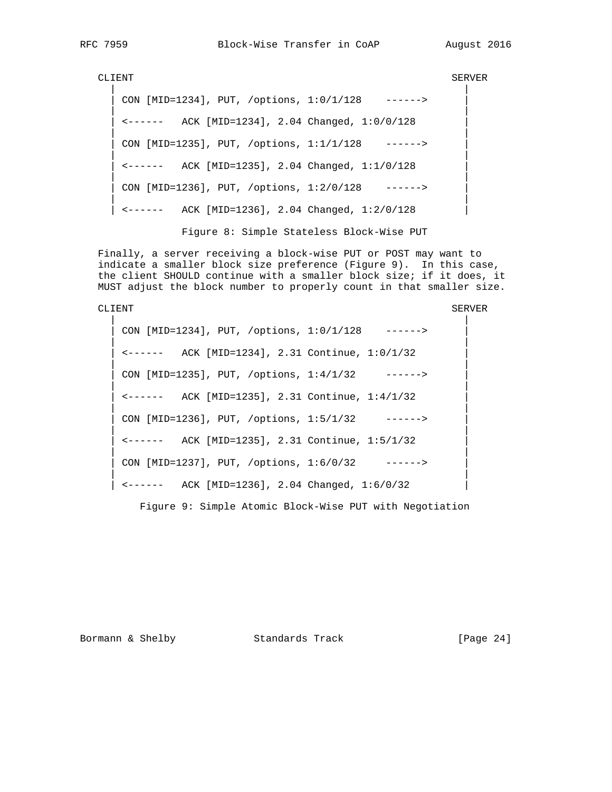CLIENT SERVER

 | | CON [MID=1234], PUT, /options, 1:0/1/128 ------> | | | <------ ACK [MID=1234], 2.04 Changed, 1:0/0/128 | | | CON [MID=1235], PUT, /options, 1:1/1/128 ------> | | | <------ ACK [MID=1235], 2.04 Changed, 1:1/0/128 | | | CON [MID=1236], PUT, /options, 1:2/0/128 ------> | | | <------ ACK [MID=1236], 2.04 Changed, 1:2/0/128 |

Figure 8: Simple Stateless Block-Wise PUT

 Finally, a server receiving a block-wise PUT or POST may want to indicate a smaller block size preference (Figure 9). In this case, the client SHOULD continue with a smaller block size; if it does, it MUST adjust the block number to properly count in that smaller size.

CLIENT SERVER | | CON [MID=1234], PUT, /options, 1:0/1/128 ------> | | | <------ ACK [MID=1234], 2.31 Continue, 1:0/1/32 | | | CON [MID=1235], PUT, /options, 1:4/1/32 ------> | | | <------ ACK [MID=1235], 2.31 Continue, 1:4/1/32 | | | CON [MID=1236], PUT, /options, 1:5/1/32 ------> | | | <------ ACK [MID=1235], 2.31 Continue, 1:5/1/32 | | | | CON [MID=1237], PUT, /options, 1:6/0/32 ------> | | | | <------ ACK [MID=1236], 2.04 Changed, 1:6/0/32 |

Figure 9: Simple Atomic Block-Wise PUT with Negotiation

Bormann & Shelby Standards Track [Page 24]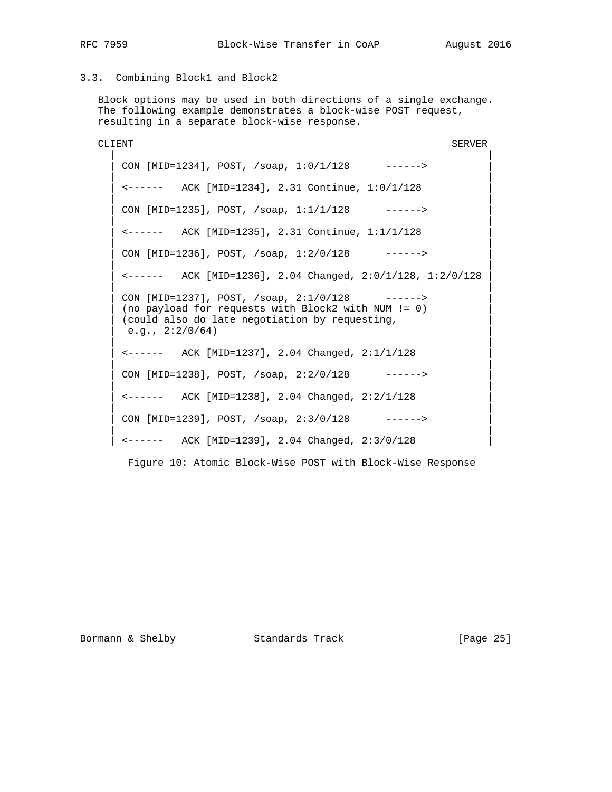# 3.3. Combining Block1 and Block2

 Block options may be used in both directions of a single exchange. The following example demonstrates a block-wise POST request, resulting in a separate block-wise response.

CLIENT SERVER | | | CON [MID=1234], POST, /soap, 1:0/1/128 ------> | | | | <------ ACK [MID=1234], 2.31 Continue, 1:0/1/128 | | | CON [MID=1235], POST, /soap, 1:1/1/128 ------> | | | <------ ACK [MID=1235], 2.31 Continue, 1:1/1/128 | | | CON [MID=1236], POST, /soap, 1:2/0/128 ------> | | | <------ ACK [MID=1236], 2.04 Changed, 2:0/1/128, 1:2/0/128 | | | CON [MID=1237], POST, /soap, 2:1/0/128 ------> (no payload for requests with Block2 with NUM != 0) (could also do late negotiation by requesting,  $e.g., 2:2/0/64)$  | | | <------ ACK [MID=1237], 2.04 Changed, 2:1/1/128 | | |  $CON [MID=1238], POST, /soap, 2:2/0/128$  ------> | | | <------ ACK [MID=1238], 2.04 Changed, 2:2/1/128 | | | CON [MID=1239], POST, /soap, 2:3/0/128 ------> | |  $\leftarrow---$  ACK [MID=1239], 2.04 Changed, 2:3/0/128

Figure 10: Atomic Block-Wise POST with Block-Wise Response

Bormann & Shelby Standards Track [Page 25]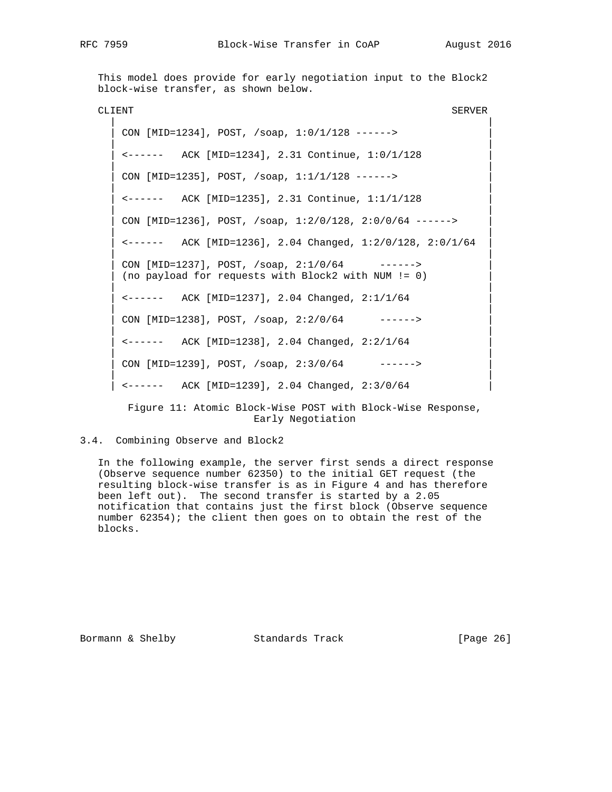This model does provide for early negotiation input to the Block2 block-wise transfer, as shown below.

CLIENT SERVER | | CON [MID=1234], POST, /soap, 1:0/1/128 ------> | | | <------ ACK [MID=1234], 2.31 Continue, 1:0/1/128 | | | CON [MID=1235], POST, /soap, 1:1/1/128 ------> | | | <------ ACK [MID=1235], 2.31 Continue, 1:1/1/128 | | | | CON [MID=1236], POST, /soap, 1:2/0/128, 2:0/0/64 ------> | | | | <------ ACK [MID=1236], 2.04 Changed, 1:2/0/128, 2:0/1/64 | | | CON [MID=1237], POST, /soap, 2:1/0/64 ------> (no payload for requests with Block2 with NUM != 0) | | | <------ ACK [MID=1237], 2.04 Changed, 2:1/1/64 | | | CON [MID=1238], POST, /soap, 2:2/0/64 ------> | | | <------ ACK [MID=1238], 2.04 Changed, 2:2/1/64 | | | CON [MID=1239], POST, /soap, 2:3/0/64 ------> | | | <------ ACK [MID=1239], 2.04 Changed, 2:3/0/64 |

 Figure 11: Atomic Block-Wise POST with Block-Wise Response, Early Negotiation

# 3.4. Combining Observe and Block2

 In the following example, the server first sends a direct response (Observe sequence number 62350) to the initial GET request (the resulting block-wise transfer is as in Figure 4 and has therefore been left out). The second transfer is started by a 2.05 notification that contains just the first block (Observe sequence number 62354); the client then goes on to obtain the rest of the blocks.

Bormann & Shelby **Standards Track** [Page 26]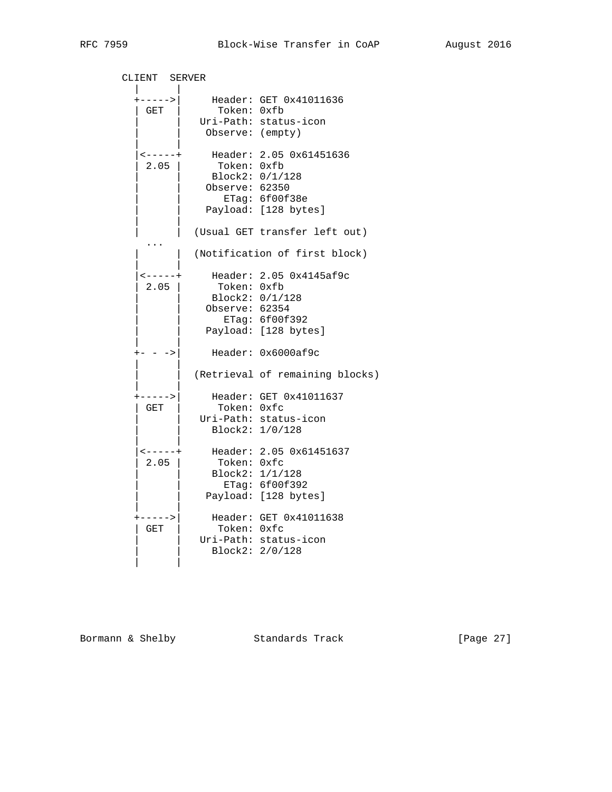| CLIENT SERVER     |                  |                                 |
|-------------------|------------------|---------------------------------|
| $+ - - - - - >  $ |                  | Header: GET 0x41011636          |
| GET               | Token: 0xfb      |                                 |
|                   |                  | Uri-Path: status-icon           |
|                   | Observe: (empty) |                                 |
|                   |                  |                                 |
| $- - - - - +$     |                  | Header: 2.05 0x61451636         |
| $2.05$            | Token: Oxfb      |                                 |
|                   |                  | Block2: 0/1/128                 |
|                   | Observe: 62350   |                                 |
|                   |                  | ETag: 6f00f38e                  |
|                   |                  | Payload: [128 bytes]            |
|                   |                  |                                 |
|                   |                  | (Usual GET transfer left out)   |
|                   |                  |                                 |
|                   |                  | (Notification of first block)   |
| $- - - - - +$     |                  | Header: 2.05 0x4145af9c         |
| 2.05              | Token: Oxfb      |                                 |
|                   | Block2: 0/1/128  |                                 |
|                   | Observe: 62354   |                                 |
|                   |                  | ETag: 6f00f392                  |
|                   |                  | Payload: [128 bytes]            |
|                   |                  |                                 |
| $\rightarrow$     |                  | Header: 0x6000af9c              |
|                   |                  | (Retrieval of remaining blocks) |
| ----->            |                  | Header: GET 0x41011637          |
| GET               | Token: 0xfc      |                                 |
|                   |                  | Uri-Path: status-icon           |
|                   |                  | Block2: 1/0/128                 |
|                   |                  |                                 |
| $- - - - - +$     |                  | Header: 2.05 0x61451637         |
| 2.05              | Token: Oxfc      |                                 |
|                   |                  | Block2: 1/1/128                 |
|                   |                  | ETag: 6f00f392                  |
|                   |                  | Payload: [128 bytes]            |
|                   |                  |                                 |
| ----->            |                  | Header: GET 0x41011638          |
| GET               | Token: Oxfc      |                                 |
|                   |                  | Uri-Path: status-icon           |
|                   |                  | Block2: 2/0/128                 |
|                   |                  |                                 |
|                   |                  |                                 |

Bormann & Shelby Standards Track [Page 27]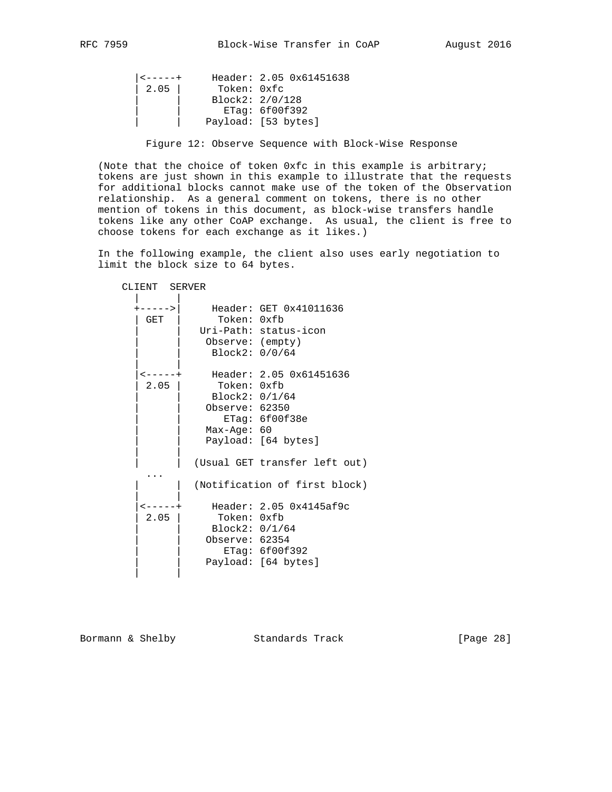```
 |<-----+ Header: 2.05 0x61451638
 | 2.05 | Token: 0xfc
 | | Block2: 2/0/128
              | ETag: 6f00f392
           | | Payload: [53 bytes]
```
Figure 12: Observe Sequence with Block-Wise Response

 (Note that the choice of token 0xfc in this example is arbitrary; tokens are just shown in this example to illustrate that the requests for additional blocks cannot make use of the token of the Observation relationship. As a general comment on tokens, there is no other mention of tokens in this document, as block-wise transfers handle tokens like any other CoAP exchange. As usual, the client is free to choose tokens for each exchange as it likes.)

 In the following example, the client also uses early negotiation to limit the block size to 64 bytes.

| CLIENT SERVER               |                                                                  |                                                                                                                                    |
|-----------------------------|------------------------------------------------------------------|------------------------------------------------------------------------------------------------------------------------------------|
| $---->$<br>GET              | Token: 0xfb<br>Observe: (empty)<br>Block2: 0/0/64                | Header: GET 0x41011636<br>Uri-Path: status-icon                                                                                    |
| 2.05                        | Token: 0xfb<br>Block2: 0/1/64<br>Observe: 62350<br>$Max-Age: 60$ | <-----+ Header: 2.05 0x61451636<br>ETaq: 6f00f38e<br>Payload: [64 bytes]                                                           |
| $\leftarrow$ $   +$<br>2.05 | Token: Oxfb<br>Block2: 0/1/64<br>Observe: 62354                  | (Usual GET transfer left out)<br>(Notification of first block)<br>Header: 2.05 0x4145af9c<br>ETag: 6f00f392<br>Payload: [64 bytes] |

Bormann & Shelby Standards Track [Page 28]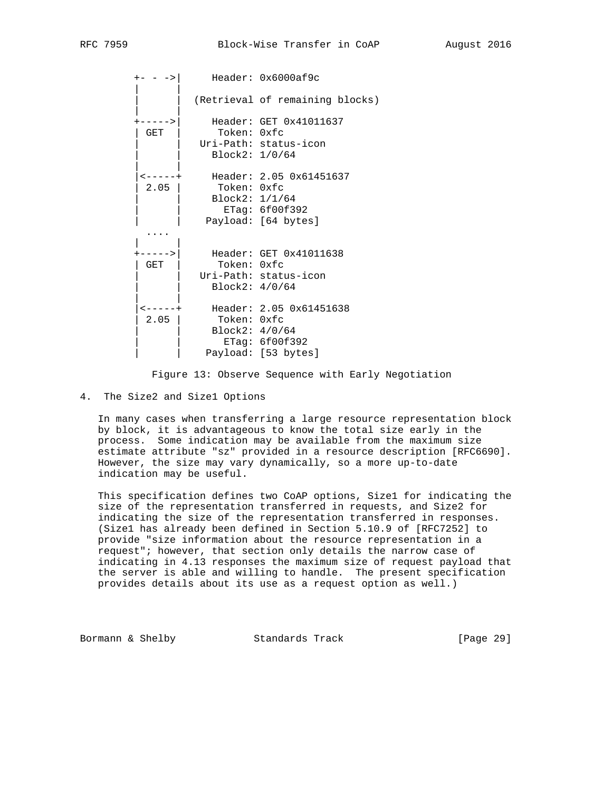+- - ->| Header: 0x6000af9c | | (Retrieval of remaining blocks) | | +----->| Header: GET 0x41011637 | GET | Token: 0xfc Uri-Path: status-icon | | Block2: 1/0/64 | | |<-----+ Header: 2.05 0x61451637 | 2.05 | Token: 0xfc | | Block2: 1/1/64 | | ETag: 6f00f392 Payload: [64 bytes] .... | | +----->| Header: GET 0x41011638 | GET | Token: 0xfc Uri-Path: status-icon | | Block2: 4/0/64 | | |<-----+ Header: 2.05 0x61451638 | 2.05 | Token: 0xfc | | Block2: 4/0/64 | | ETag: 6f00f392 Payload: [53 bytes]

Figure 13: Observe Sequence with Early Negotiation

4. The Size2 and Size1 Options

 In many cases when transferring a large resource representation block by block, it is advantageous to know the total size early in the process. Some indication may be available from the maximum size estimate attribute "sz" provided in a resource description [RFC6690]. However, the size may vary dynamically, so a more up-to-date indication may be useful.

 This specification defines two CoAP options, Size1 for indicating the size of the representation transferred in requests, and Size2 for indicating the size of the representation transferred in responses. (Size1 has already been defined in Section 5.10.9 of [RFC7252] to provide "size information about the resource representation in a request"; however, that section only details the narrow case of indicating in 4.13 responses the maximum size of request payload that the server is able and willing to handle. The present specification provides details about its use as a request option as well.)

Bormann & Shelby Standards Track [Page 29]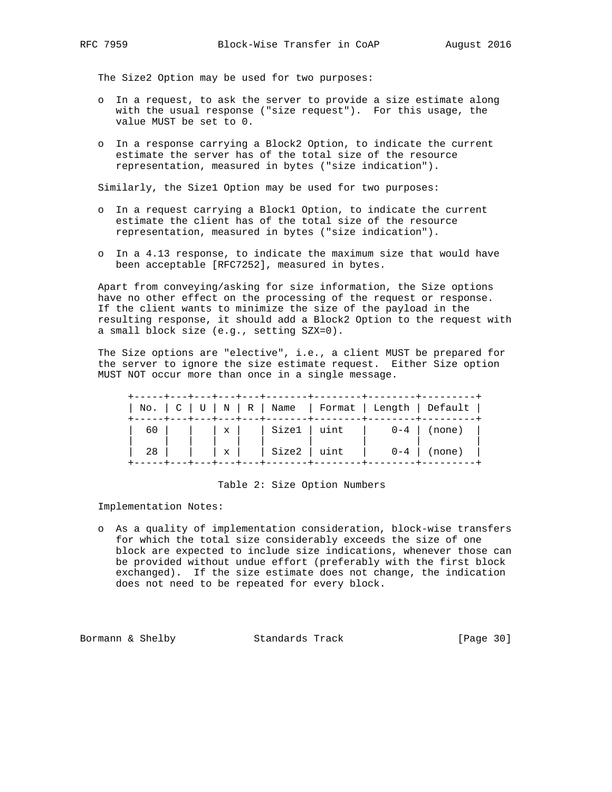The Size2 Option may be used for two purposes:

- o In a request, to ask the server to provide a size estimate along with the usual response ("size request"). For this usage, the value MUST be set to 0.
- o In a response carrying a Block2 Option, to indicate the current estimate the server has of the total size of the resource representation, measured in bytes ("size indication").

Similarly, the Size1 Option may be used for two purposes:

- o In a request carrying a Block1 Option, to indicate the current estimate the client has of the total size of the resource representation, measured in bytes ("size indication").
- o In a 4.13 response, to indicate the maximum size that would have been acceptable [RFC7252], measured in bytes.

 Apart from conveying/asking for size information, the Size options have no other effect on the processing of the request or response. If the client wants to minimize the size of the payload in the resulting response, it should add a Block2 Option to the request with a small block size (e.g., setting SZX=0).

 The Size options are "elective", i.e., a client MUST be prepared for the server to ignore the size estimate request. Either Size option MUST NOT occur more than once in a single message.

|      |  |  |  | No.   C   U   N   R   Name   Format   Length   Default                                |
|------|--|--|--|---------------------------------------------------------------------------------------|
|      |  |  |  |                                                                                       |
| 28 I |  |  |  | $\left  \begin{array}{c c}  x  &  x  \end{array} \right $ Size2   uint   0-4   (none) |

#### Table 2: Size Option Numbers

Implementation Notes:

 o As a quality of implementation consideration, block-wise transfers for which the total size considerably exceeds the size of one block are expected to include size indications, whenever those can be provided without undue effort (preferably with the first block exchanged). If the size estimate does not change, the indication does not need to be repeated for every block.

Bormann & Shelby Standards Track [Page 30]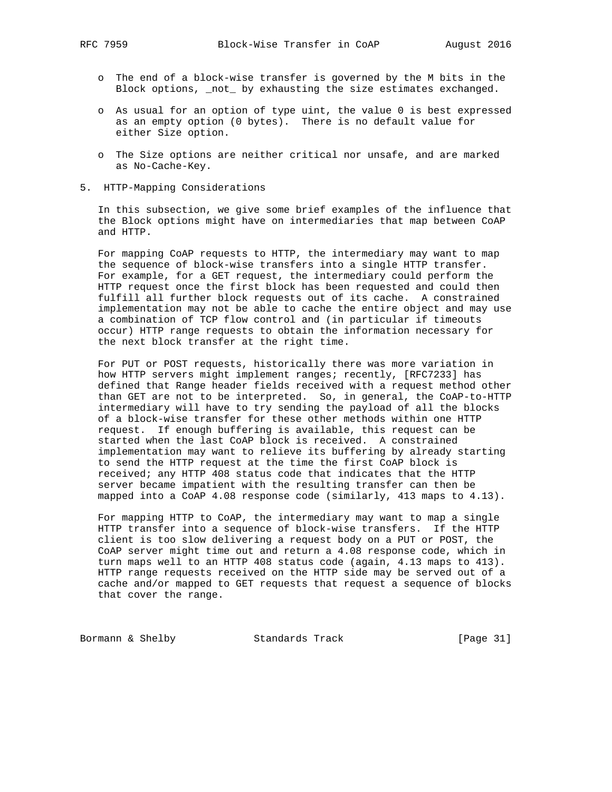- o The end of a block-wise transfer is governed by the M bits in the Block options, \_not\_ by exhausting the size estimates exchanged.
- o As usual for an option of type uint, the value 0 is best expressed as an empty option (0 bytes). There is no default value for either Size option.
- o The Size options are neither critical nor unsafe, and are marked as No-Cache-Key.
- 5. HTTP-Mapping Considerations

 In this subsection, we give some brief examples of the influence that the Block options might have on intermediaries that map between CoAP and HTTP.

 For mapping CoAP requests to HTTP, the intermediary may want to map the sequence of block-wise transfers into a single HTTP transfer. For example, for a GET request, the intermediary could perform the HTTP request once the first block has been requested and could then fulfill all further block requests out of its cache. A constrained implementation may not be able to cache the entire object and may use a combination of TCP flow control and (in particular if timeouts occur) HTTP range requests to obtain the information necessary for the next block transfer at the right time.

 For PUT or POST requests, historically there was more variation in how HTTP servers might implement ranges; recently, [RFC7233] has defined that Range header fields received with a request method other than GET are not to be interpreted. So, in general, the CoAP-to-HTTP intermediary will have to try sending the payload of all the blocks of a block-wise transfer for these other methods within one HTTP request. If enough buffering is available, this request can be started when the last CoAP block is received. A constrained implementation may want to relieve its buffering by already starting to send the HTTP request at the time the first CoAP block is received; any HTTP 408 status code that indicates that the HTTP server became impatient with the resulting transfer can then be mapped into a CoAP 4.08 response code (similarly, 413 maps to 4.13).

 For mapping HTTP to CoAP, the intermediary may want to map a single HTTP transfer into a sequence of block-wise transfers. If the HTTP client is too slow delivering a request body on a PUT or POST, the CoAP server might time out and return a 4.08 response code, which in turn maps well to an HTTP 408 status code (again, 4.13 maps to 413). HTTP range requests received on the HTTP side may be served out of a cache and/or mapped to GET requests that request a sequence of blocks that cover the range.

Bormann & Shelby Standards Track [Page 31]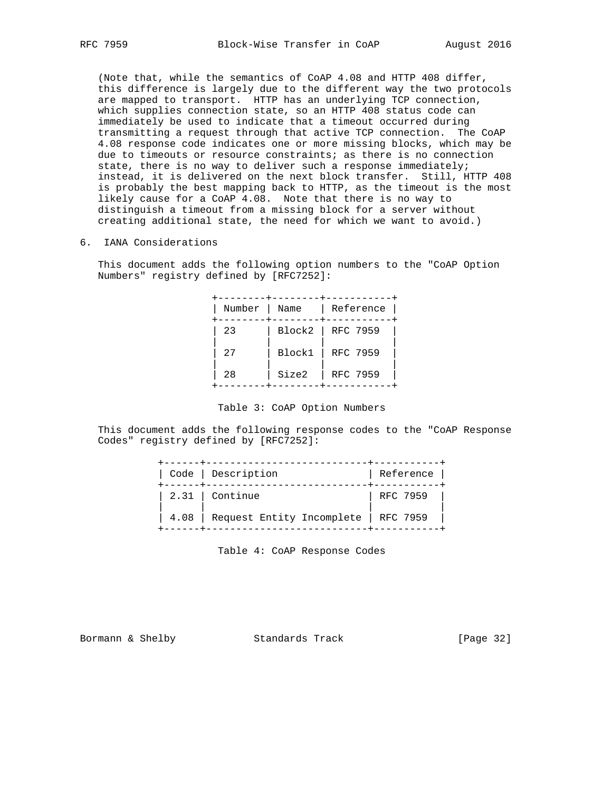(Note that, while the semantics of CoAP 4.08 and HTTP 408 differ, this difference is largely due to the different way the two protocols are mapped to transport. HTTP has an underlying TCP connection, which supplies connection state, so an HTTP 408 status code can immediately be used to indicate that a timeout occurred during transmitting a request through that active TCP connection. The CoAP 4.08 response code indicates one or more missing blocks, which may be due to timeouts or resource constraints; as there is no connection state, there is no way to deliver such a response immediately; instead, it is delivered on the next block transfer. Still, HTTP 408 is probably the best mapping back to HTTP, as the timeout is the most likely cause for a CoAP 4.08. Note that there is no way to distinguish a timeout from a missing block for a server without creating additional state, the need for which we want to avoid.)

6. IANA Considerations

 This document adds the following option numbers to the "CoAP Option Numbers" registry defined by [RFC7252]:

| Number | Name   | Reference         |  |
|--------|--------|-------------------|--|
| 23     |        | Block2   RFC 7959 |  |
| 27     | Block1 | RFC 7959          |  |
| 28     | Size2  | RFC 7959          |  |

Table 3: CoAP Option Numbers

 This document adds the following response codes to the "CoAP Response Codes" registry defined by [RFC7252]:

| Code   Description                          | Reference |
|---------------------------------------------|-----------|
| $2.31$   Continue                           | RFC 7959  |
| 4.08   Request Entity Incomplete   RFC 7959 |           |

Table 4: CoAP Response Codes

Bormann & Shelby Standards Track [Page 32]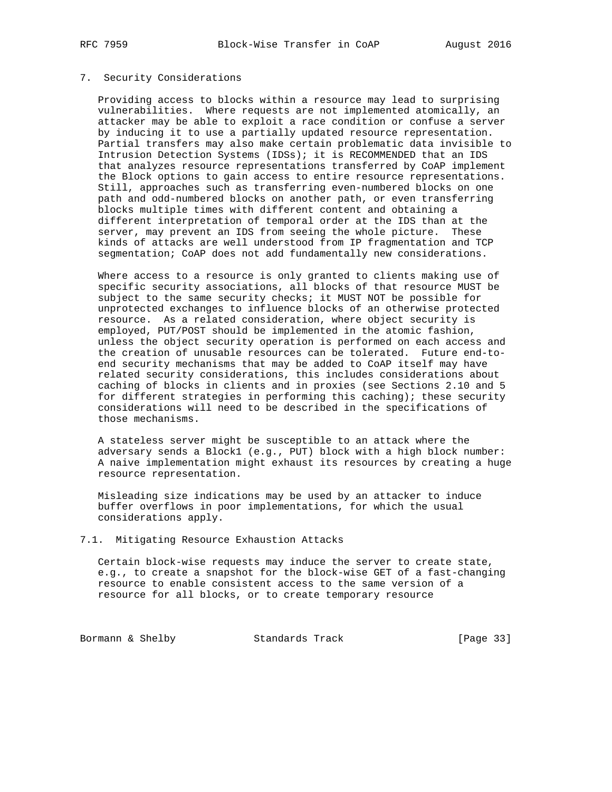### 7. Security Considerations

 Providing access to blocks within a resource may lead to surprising vulnerabilities. Where requests are not implemented atomically, an attacker may be able to exploit a race condition or confuse a server by inducing it to use a partially updated resource representation. Partial transfers may also make certain problematic data invisible to Intrusion Detection Systems (IDSs); it is RECOMMENDED that an IDS that analyzes resource representations transferred by CoAP implement the Block options to gain access to entire resource representations. Still, approaches such as transferring even-numbered blocks on one path and odd-numbered blocks on another path, or even transferring blocks multiple times with different content and obtaining a different interpretation of temporal order at the IDS than at the server, may prevent an IDS from seeing the whole picture. These kinds of attacks are well understood from IP fragmentation and TCP segmentation; CoAP does not add fundamentally new considerations.

 Where access to a resource is only granted to clients making use of specific security associations, all blocks of that resource MUST be subject to the same security checks; it MUST NOT be possible for unprotected exchanges to influence blocks of an otherwise protected resource. As a related consideration, where object security is employed, PUT/POST should be implemented in the atomic fashion, unless the object security operation is performed on each access and the creation of unusable resources can be tolerated. Future end-to end security mechanisms that may be added to CoAP itself may have related security considerations, this includes considerations about caching of blocks in clients and in proxies (see Sections 2.10 and 5 for different strategies in performing this caching); these security considerations will need to be described in the specifications of those mechanisms.

 A stateless server might be susceptible to an attack where the adversary sends a Block1 (e.g., PUT) block with a high block number: A naive implementation might exhaust its resources by creating a huge resource representation.

 Misleading size indications may be used by an attacker to induce buffer overflows in poor implementations, for which the usual considerations apply.

#### 7.1. Mitigating Resource Exhaustion Attacks

 Certain block-wise requests may induce the server to create state, e.g., to create a snapshot for the block-wise GET of a fast-changing resource to enable consistent access to the same version of a resource for all blocks, or to create temporary resource

Bormann & Shelby Standards Track [Page 33]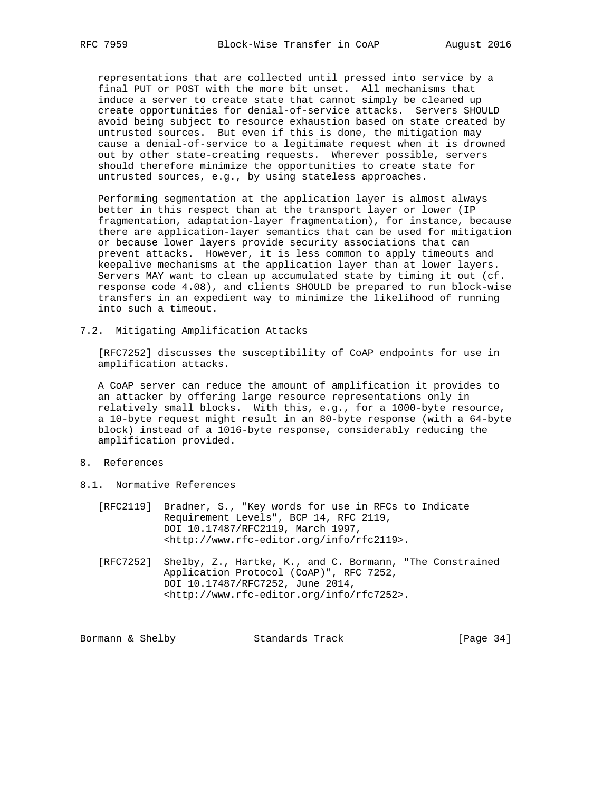representations that are collected until pressed into service by a final PUT or POST with the more bit unset. All mechanisms that induce a server to create state that cannot simply be cleaned up create opportunities for denial-of-service attacks. Servers SHOULD avoid being subject to resource exhaustion based on state created by untrusted sources. But even if this is done, the mitigation may cause a denial-of-service to a legitimate request when it is drowned out by other state-creating requests. Wherever possible, servers should therefore minimize the opportunities to create state for untrusted sources, e.g., by using stateless approaches.

 Performing segmentation at the application layer is almost always better in this respect than at the transport layer or lower (IP fragmentation, adaptation-layer fragmentation), for instance, because there are application-layer semantics that can be used for mitigation or because lower layers provide security associations that can prevent attacks. However, it is less common to apply timeouts and keepalive mechanisms at the application layer than at lower layers. Servers MAY want to clean up accumulated state by timing it out (cf. response code 4.08), and clients SHOULD be prepared to run block-wise transfers in an expedient way to minimize the likelihood of running into such a timeout.

7.2. Mitigating Amplification Attacks

 [RFC7252] discusses the susceptibility of CoAP endpoints for use in amplification attacks.

 A CoAP server can reduce the amount of amplification it provides to an attacker by offering large resource representations only in relatively small blocks. With this, e.g., for a 1000-byte resource, a 10-byte request might result in an 80-byte response (with a 64-byte block) instead of a 1016-byte response, considerably reducing the amplification provided.

- 8. References
- 8.1. Normative References
	- [RFC2119] Bradner, S., "Key words for use in RFCs to Indicate Requirement Levels", BCP 14, RFC 2119, DOI 10.17487/RFC2119, March 1997, <http://www.rfc-editor.org/info/rfc2119>.
	- [RFC7252] Shelby, Z., Hartke, K., and C. Bormann, "The Constrained Application Protocol (CoAP)", RFC 7252, DOI 10.17487/RFC7252, June 2014, <http://www.rfc-editor.org/info/rfc7252>.

| Standards Track<br>Bormann & Shelby |  | [Page $34$ ] |  |
|-------------------------------------|--|--------------|--|
|-------------------------------------|--|--------------|--|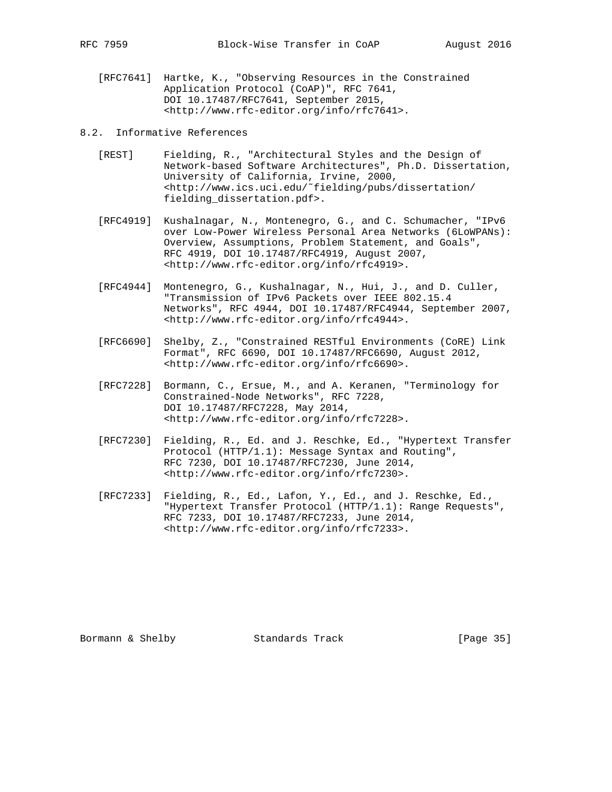- [RFC7641] Hartke, K., "Observing Resources in the Constrained Application Protocol (CoAP)", RFC 7641, DOI 10.17487/RFC7641, September 2015, <http://www.rfc-editor.org/info/rfc7641>.
- 8.2. Informative References
	- [REST] Fielding, R., "Architectural Styles and the Design of Network-based Software Architectures", Ph.D. Dissertation, University of California, Irvine, 2000, <http://www.ics.uci.edu/˜fielding/pubs/dissertation/ fielding\_dissertation.pdf>.
	- [RFC4919] Kushalnagar, N., Montenegro, G., and C. Schumacher, "IPv6 over Low-Power Wireless Personal Area Networks (6LoWPANs): Overview, Assumptions, Problem Statement, and Goals", RFC 4919, DOI 10.17487/RFC4919, August 2007, <http://www.rfc-editor.org/info/rfc4919>.
	- [RFC4944] Montenegro, G., Kushalnagar, N., Hui, J., and D. Culler, "Transmission of IPv6 Packets over IEEE 802.15.4 Networks", RFC 4944, DOI 10.17487/RFC4944, September 2007, <http://www.rfc-editor.org/info/rfc4944>.
	- [RFC6690] Shelby, Z., "Constrained RESTful Environments (CoRE) Link Format", RFC 6690, DOI 10.17487/RFC6690, August 2012, <http://www.rfc-editor.org/info/rfc6690>.
	- [RFC7228] Bormann, C., Ersue, M., and A. Keranen, "Terminology for Constrained-Node Networks", RFC 7228, DOI 10.17487/RFC7228, May 2014, <http://www.rfc-editor.org/info/rfc7228>.
	- [RFC7230] Fielding, R., Ed. and J. Reschke, Ed., "Hypertext Transfer Protocol (HTTP/1.1): Message Syntax and Routing", RFC 7230, DOI 10.17487/RFC7230, June 2014, <http://www.rfc-editor.org/info/rfc7230>.
	- [RFC7233] Fielding, R., Ed., Lafon, Y., Ed., and J. Reschke, Ed., "Hypertext Transfer Protocol (HTTP/1.1): Range Requests", RFC 7233, DOI 10.17487/RFC7233, June 2014, <http://www.rfc-editor.org/info/rfc7233>.

Bormann & Shelby Standards Track [Page 35]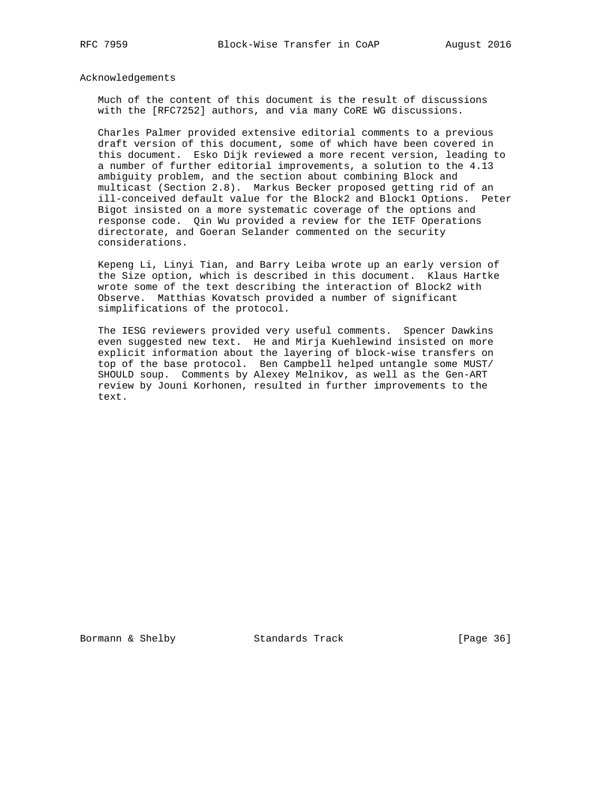Acknowledgements

 Much of the content of this document is the result of discussions with the [RFC7252] authors, and via many CoRE WG discussions.

 Charles Palmer provided extensive editorial comments to a previous draft version of this document, some of which have been covered in this document. Esko Dijk reviewed a more recent version, leading to a number of further editorial improvements, a solution to the 4.13 ambiguity problem, and the section about combining Block and multicast (Section 2.8). Markus Becker proposed getting rid of an ill-conceived default value for the Block2 and Block1 Options. Peter Bigot insisted on a more systematic coverage of the options and response code. Qin Wu provided a review for the IETF Operations directorate, and Goeran Selander commented on the security considerations.

 Kepeng Li, Linyi Tian, and Barry Leiba wrote up an early version of the Size option, which is described in this document. Klaus Hartke wrote some of the text describing the interaction of Block2 with Observe. Matthias Kovatsch provided a number of significant simplifications of the protocol.

 The IESG reviewers provided very useful comments. Spencer Dawkins even suggested new text. He and Mirja Kuehlewind insisted on more explicit information about the layering of block-wise transfers on top of the base protocol. Ben Campbell helped untangle some MUST/ SHOULD soup. Comments by Alexey Melnikov, as well as the Gen-ART review by Jouni Korhonen, resulted in further improvements to the text.

Bormann & Shelby Standards Track [Page 36]